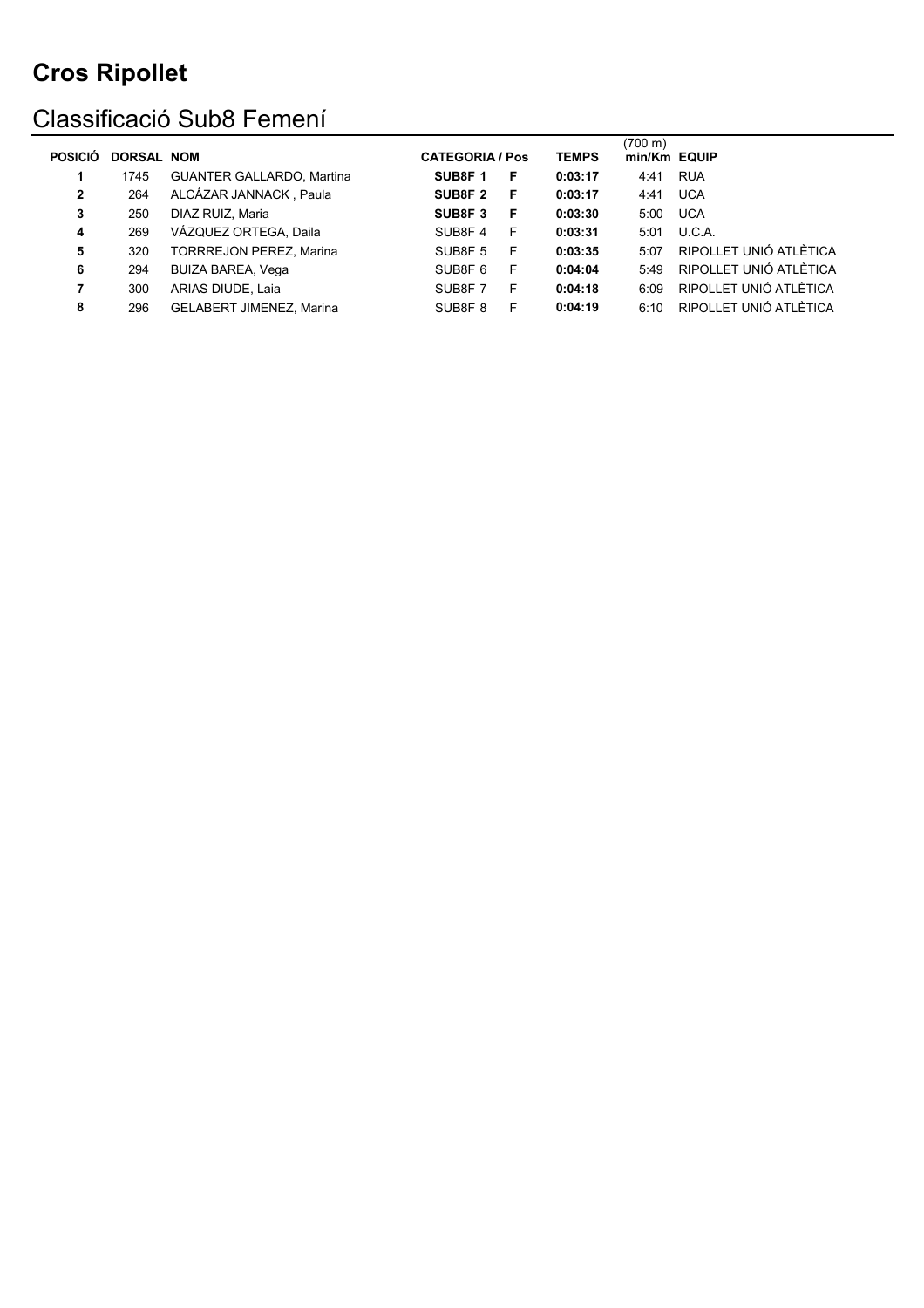### Classificació Sub8 Femení

| <b>POSICIÓ</b> | <b>DORSAL NOM</b> |                                  | <b>CATEGORIA / Pos</b> |    | <b>TEMPS</b> | (700 m)<br>min/Km EQUIP |                        |
|----------------|-------------------|----------------------------------|------------------------|----|--------------|-------------------------|------------------------|
|                | 1745              | <b>GUANTER GALLARDO, Martina</b> | SUB8F <sub>1</sub>     | F  | 0:03:17      | 4:41                    | <b>RUA</b>             |
| $\mathbf{2}$   | 264               | ALCÁZAR JANNACK, Paula           | SUB8F <sub>2</sub>     | F. | 0:03:17      | 4:41                    | <b>UCA</b>             |
| 3              | 250               | DIAZ RUIZ, Maria                 | SUB8F3                 | F  | 0:03:30      | 5:00                    | <b>UCA</b>             |
| 4              | 269               | VÁZQUEZ ORTEGA, Daila            | SUB8F4                 | F  | 0:03:31      | 5:01                    | U.C.A.                 |
| 5              | 320               | <b>TORRREJON PEREZ, Marina</b>   | SUB8F <sub>5</sub>     | E  | 0:03:35      | 5:07                    | RIPOLLET UNIÓ ATLÈTICA |
| 6              | 294               | <b>BUIZA BAREA, Vega</b>         | SUB8F <sub>6</sub>     | F. | 0:04:04      | 5:49                    | RIPOLLET UNIÓ ATLÈTICA |
|                | 300               | ARIAS DIUDE, Laia                | SUB8F7                 | F. | 0:04:18      | 6.09                    | RIPOLLET UNIÓ ATLÈTICA |
| 8              | 296               | <b>GELABERT JIMENEZ, Marina</b>  | SUB8F <sub>8</sub>     | F  | 0:04:19      | 6.10                    | RIPOLLET UNIÓ ATLÈTICA |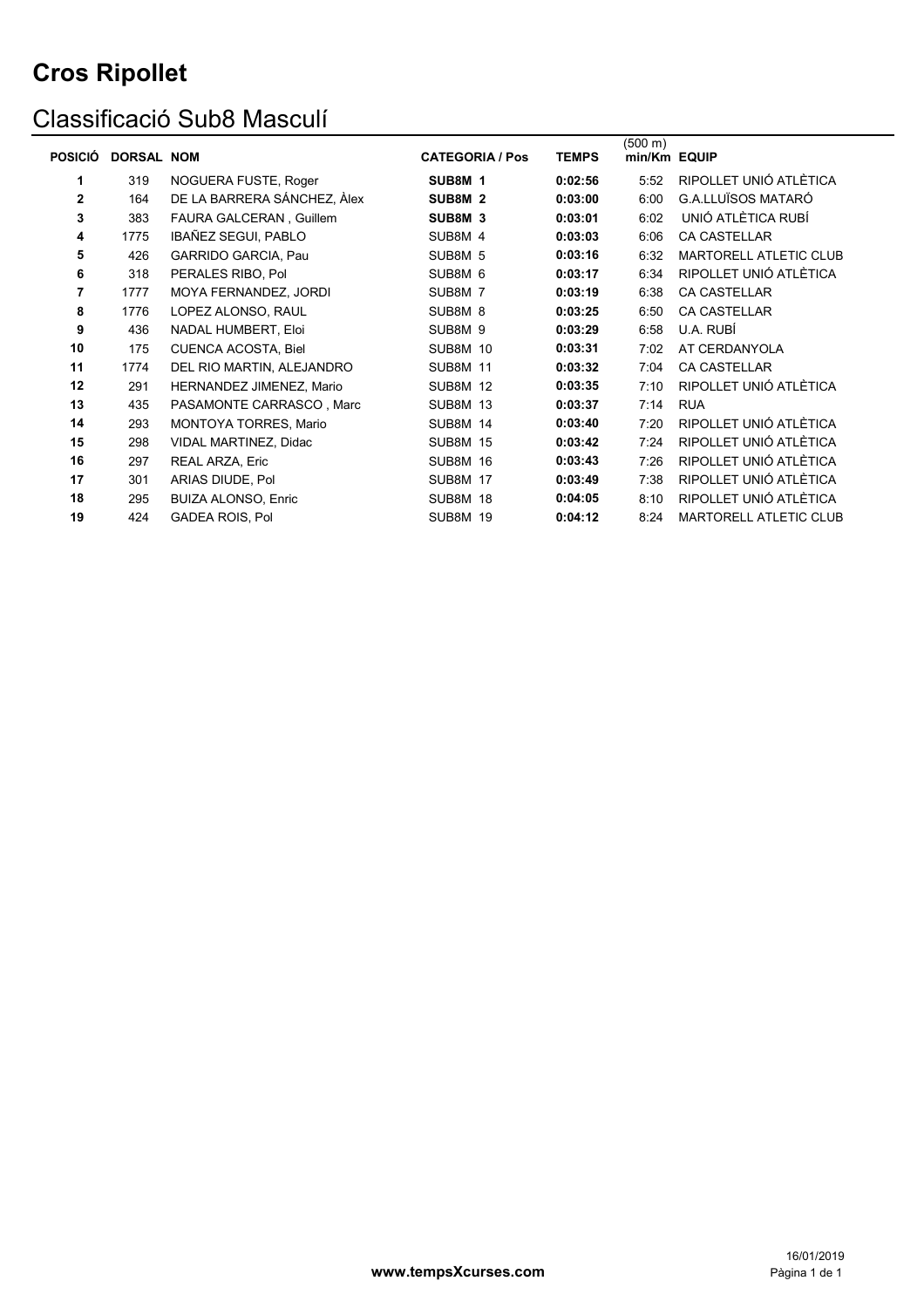### Classificació Sub8 Masculí

| <b>POSICIÓ</b> | <b>DORSAL NOM</b> |                             | <b>CATEGORIA / Pos</b> | <b>TEMPS</b> | (500 m)<br>min/Km EQUIP |                               |
|----------------|-------------------|-----------------------------|------------------------|--------------|-------------------------|-------------------------------|
| 1.             | 319               | NOGUERA FUSTE, Roger        | SUB8M 1                | 0:02:56      | 5:52                    | RIPOLLET UNIÓ ATLÈTICA        |
| $\mathbf{2}$   | 164               | DE LA BARRERA SÁNCHEZ, Àlex | SUB8M <sub>2</sub>     | 0:03:00      | 6:00                    | <b>G.A.LLUÏSOS MATARÓ</b>     |
| 3              | 383               | FAURA GALCERAN, Guillem     | SUB8M 3                | 0:03:01      | 6:02                    | UNIÓ ATLÈTICA RUBÍ            |
| 4              | 1775              | IBAÑEZ SEGUI, PABLO         | SUB8M 4                | 0:03:03      | 6:06                    | <b>CA CASTELLAR</b>           |
| 5              | 426               | <b>GARRIDO GARCIA, Pau</b>  | SUB8M 5                | 0:03:16      | 6:32                    | <b>MARTORELL ATLETIC CLUB</b> |
| 6              | 318               | PERALES RIBO, Pol           | SUB8M 6                | 0:03:17      | 6:34                    | RIPOLLET UNIÓ ATLÈTICA        |
| $\overline{7}$ | 1777              | MOYA FERNANDEZ, JORDI       | SUB8M 7                | 0:03:19      | 6:38                    | <b>CA CASTELLAR</b>           |
| 8              | 1776              | LOPEZ ALONSO, RAUL          | SUB8M 8                | 0:03:25      | 6:50                    | <b>CA CASTELLAR</b>           |
| 9              | 436               | NADAL HUMBERT, Eloi         | SUB8M 9                | 0:03:29      | 6:58                    | U.A. RUBÍ                     |
| 10             | 175               | <b>CUENCA ACOSTA, Biel</b>  | <b>SUB8M 10</b>        | 0:03:31      | 7:02                    | AT CERDANYOLA                 |
| 11             | 1774              | DEL RIO MARTIN, ALEJANDRO   | <b>SUB8M 11</b>        | 0:03:32      | 7:04                    | <b>CA CASTELLAR</b>           |
| 12             | 291               | HERNANDEZ JIMENEZ, Mario    | <b>SUB8M 12</b>        | 0:03:35      | 7:10                    | RIPOLLET UNIÓ ATLÈTICA        |
| 13             | 435               | PASAMONTE CARRASCO, Marc    | <b>SUB8M 13</b>        | 0:03:37      | 7:14                    | <b>RUA</b>                    |
| 14             | 293               | MONTOYA TORRES, Mario       | <b>SUB8M 14</b>        | 0:03:40      | 7:20                    | RIPOLLET UNIÓ ATLÈTICA        |
| 15             | 298               | VIDAL MARTINEZ, Didac       | <b>SUB8M 15</b>        | 0:03:42      | 7:24                    | RIPOLLET UNIÓ ATLÈTICA        |
| 16             | 297               | REAL ARZA, Eric             | <b>SUB8M 16</b>        | 0:03:43      | 7:26                    | RIPOLLET UNIÓ ATLÈTICA        |
| 17             | 301               | ARIAS DIUDE, Pol            | <b>SUB8M 17</b>        | 0:03:49      | 7:38                    | RIPOLLET UNIÓ ATLÈTICA        |
| 18             | 295               | <b>BUIZA ALONSO, Enric</b>  | <b>SUB8M 18</b>        | 0:04:05      | 8:10                    | RIPOLLET UNIÓ ATLÈTICA        |
| 19             | 424               | <b>GADEA ROIS, Pol</b>      | <b>SUB8M 19</b>        | 0:04:12      | 8:24                    | MARTORELL ATLETIC CLUB        |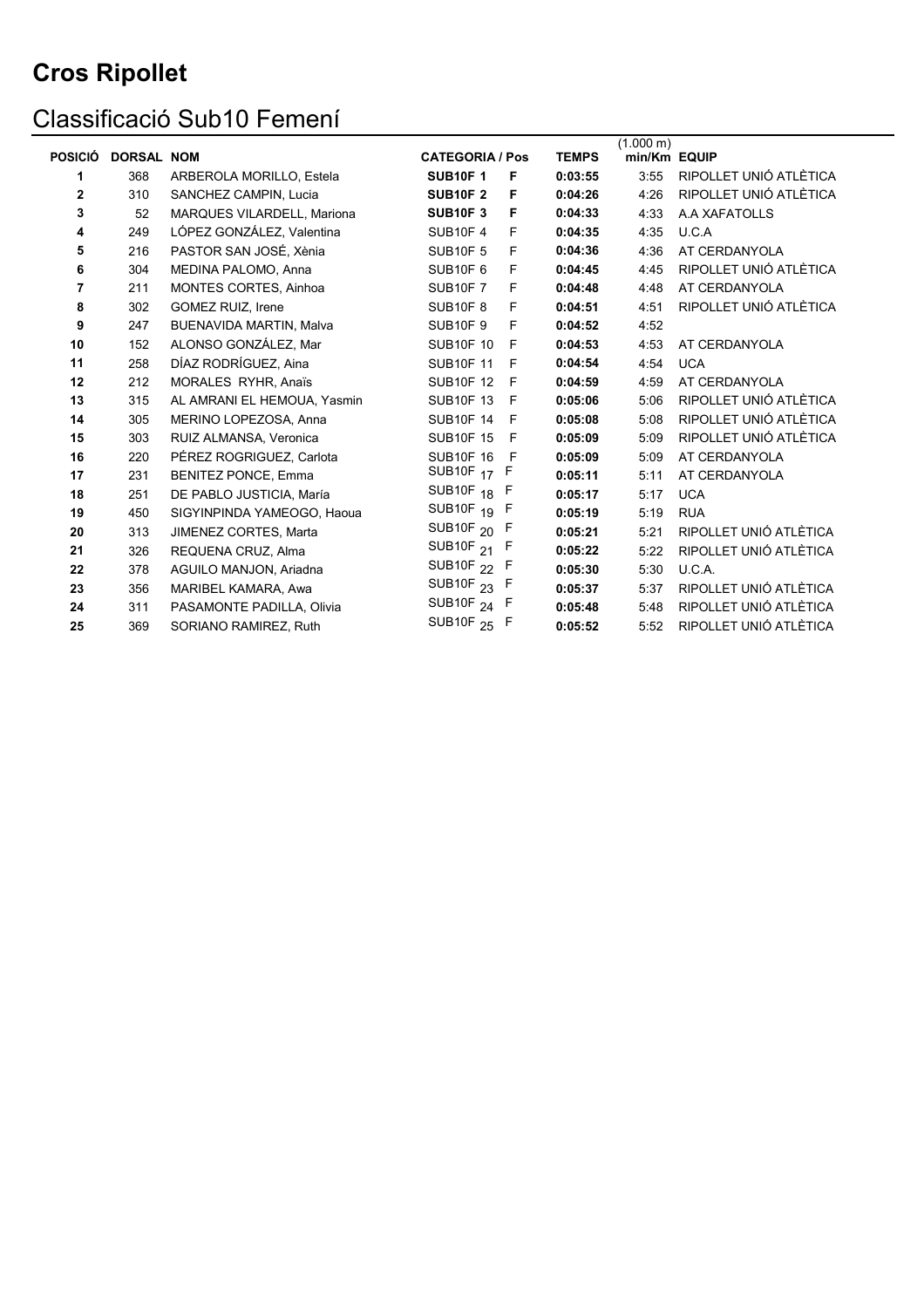# Classificació Sub10 Femení

|                |                   |                             |                        |              |              | $(1.000 \text{ m})$ |                        |
|----------------|-------------------|-----------------------------|------------------------|--------------|--------------|---------------------|------------------------|
| <b>POSICIÓ</b> | <b>DORSAL NOM</b> |                             | <b>CATEGORIA / Pos</b> |              | <b>TEMPS</b> | min/Km EQUIP        |                        |
| 1              | 368               | ARBEROLA MORILLO, Estela    | <b>SUB10F1</b>         | F            | 0:03:55      | 3:55                | RIPOLLET UNIÓ ATLÈTICA |
| 2              | 310               | SANCHEZ CAMPIN, Lucia       | <b>SUB10F2</b>         | F            | 0:04:26      | 4:26                | RIPOLLET UNIÓ ATLÈTICA |
| 3              | 52                | MARQUES VILARDELL, Mariona  | <b>SUB10F3</b>         | F            | 0:04:33      | 4:33                | A A XAFATOLLS          |
| 4              | 249               | LÓPEZ GONZÁLEZ, Valentina   | <b>SUB10F4</b>         | F            | 0:04:35      | 4:35                | U.C.A                  |
| 5              | 216               | PASTOR SAN JOSÉ, Xènia      | <b>SUB10F 5</b>        | F            | 0:04:36      | 4:36                | AT CERDANYOLA          |
| 6              | 304               | MEDINA PALOMO, Anna         | <b>SUB10F6</b>         | F            | 0:04:45      | 4:45                | RIPOLLET UNIÓ ATLÈTICA |
| 7              | 211               | MONTES CORTES, Ainhoa       | <b>SUB10F7</b>         | F            | 0:04:48      | 4:48                | AT CERDANYOLA          |
| 8              | 302               | <b>GOMEZ RUIZ, Irene</b>    | <b>SUB10F8</b>         | F            | 0:04:51      | 4:51                | RIPOLLET UNIÓ ATLÈTICA |
| 9              | 247               | BUENAVIDA MARTIN, Malva     | <b>SUB10F9</b>         | F            | 0:04:52      | 4:52                |                        |
| 10             | 152               | ALONSO GONZÁLEZ, Mar        | <b>SUB10F 10</b>       | F            | 0:04:53      | 4:53                | AT CERDANYOLA          |
| 11             | 258               | DÍAZ RODRÍGUEZ, Aina        | <b>SUB10F 11</b>       | $\mathsf{F}$ | 0:04:54      | 4:54                | <b>UCA</b>             |
| 12             | 212               | MORALES RYHR, Anaïs         | <b>SUB10F 12</b>       | F            | 0:04:59      | 4:59                | AT CERDANYOLA          |
| 13             | 315               | AL AMRANI EL HEMOUA, Yasmin | <b>SUB10F 13</b>       | F            | 0:05:06      | 5:06                | RIPOLLET UNIÓ ATLÈTICA |
| 14             | 305               | MERINO LOPEZOSA, Anna       | <b>SUB10F 14</b>       | -F           | 0:05:08      | 5:08                | RIPOLLET UNIÓ ATLÈTICA |
| 15             | 303               | RUIZ ALMANSA, Veronica      | <b>SUB10F 15</b>       | - F          | 0:05:09      | 5:09                | RIPOLLET UNIÓ ATLÈTICA |
| 16             | 220               | PÉREZ ROGRIGUEZ, Carlota    | <b>SUB10F 16</b>       | F            | 0:05:09      | 5:09                | AT CERDANYOLA          |
| 17             | 231               | <b>BENITEZ PONCE, Emma</b>  | SUB10F <sub>17</sub>   | F            | 0:05:11      | 5:11                | AT CERDANYOLA          |
| 18             | 251               | DE PABLO JUSTICIA, María    | SUB10F <sub>18</sub> F |              | 0:05:17      | 5:17                | <b>UCA</b>             |
| 19             | 450               | SIGYINPINDA YAMEOGO, Haoua  | SUB10F <sub>19</sub> F |              | 0:05:19      | 5:19                | <b>RUA</b>             |
| 20             | 313               | JIMENEZ CORTES, Marta       | SUB10F $_{20}$ F       |              | 0:05:21      | 5:21                | RIPOLLET UNIÓ ATLÈTICA |
| 21             | 326               | REQUENA CRUZ, Alma          | SUB10F $21$ F          |              | 0:05:22      | 5:22                | RIPOLLET UNIÓ ATLÈTICA |
| 22             | 378               | AGUILO MANJON, Ariadna      | SUB10F <sub>22</sub> F |              | 0:05:30      | 5:30                | U.C.A.                 |
| 23             | 356               | MARIBEL KAMARA, Awa         | SUB10F $23$ F          |              | 0:05:37      | 5:37                | RIPOLLET UNIÓ ATLÈTICA |
| 24             | 311               | PASAMONTE PADILLA, Olivia   | SUB10F $_{24}$ F       |              | 0:05:48      | 5:48                | RIPOLLET UNIÓ ATLÈTICA |
| 25             | 369               | SORIANO RAMIREZ, Ruth       | SUB10F <sub>25</sub> F |              | 0:05:52      | 5:52                | RIPOLLET UNIÓ ATLÈTICA |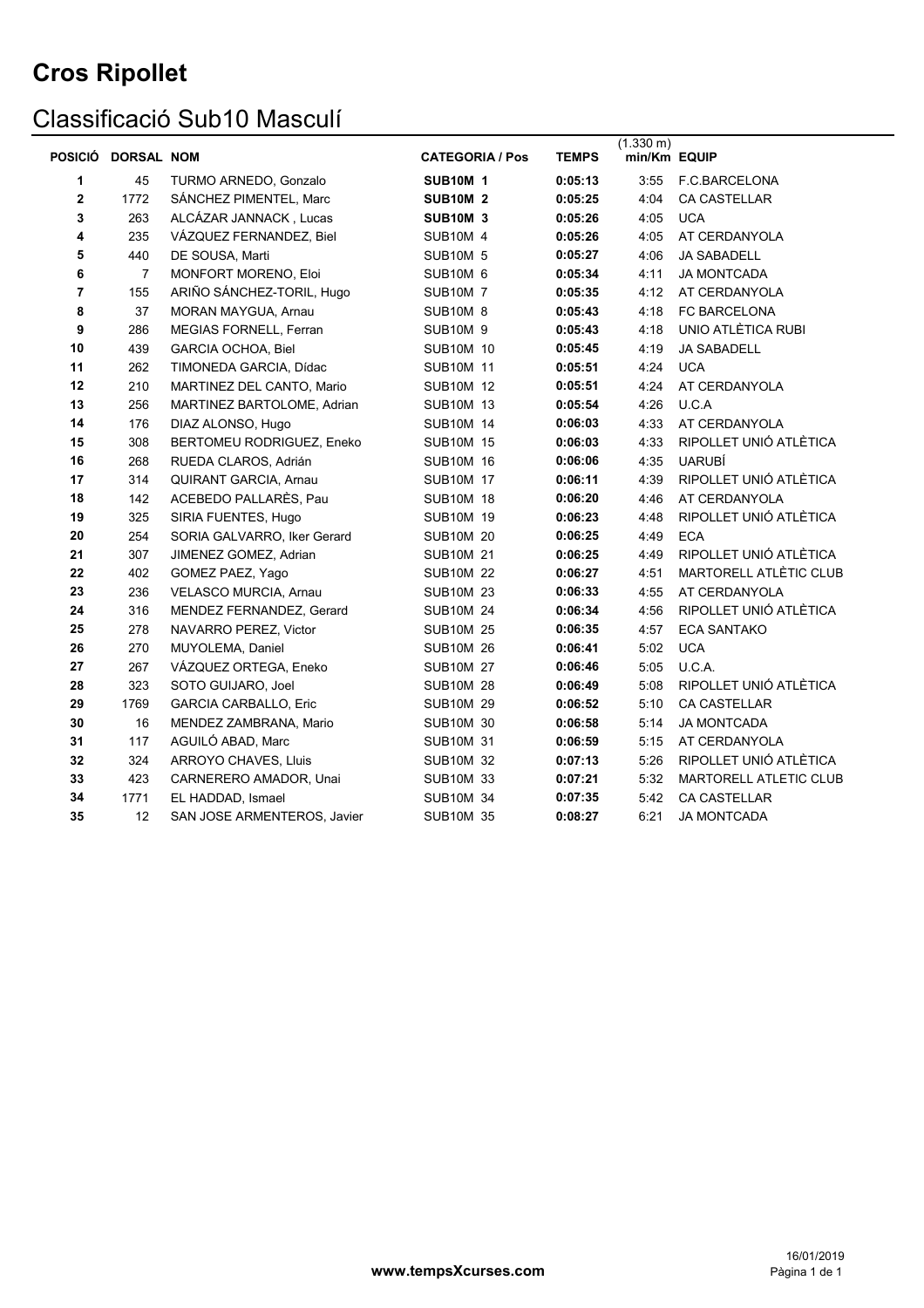### Classificació Sub10 Masculí

| <b>POSICIÓ</b> | <b>DORSAL NOM</b> |                                  | <b>CATEGORIA / Pos</b> | <b>TEMPS</b> | $(1.330 \text{ m})$<br>min/Km EQUIP |                        |
|----------------|-------------------|----------------------------------|------------------------|--------------|-------------------------------------|------------------------|
| 1              | 45                | TURMO ARNEDO, Gonzalo            | <b>SUB10M 1</b>        | 0:05:13      | 3:55                                | F.C.BARCELONA          |
| 2              | 1772              | SÁNCHEZ PIMENTEL, Marc           | <b>SUB10M 2</b>        | 0:05:25      | 4:04                                | CA CASTELLAR           |
| 3              | 263               | ALCÁZAR JANNACK, Lucas           | <b>SUB10M 3</b>        | 0:05:26      | 4:05                                | <b>UCA</b>             |
| 4              | 235               | VÁZQUEZ FERNANDEZ, Biel          | <b>SUB10M 4</b>        | 0:05:26      | 4:05                                | AT CERDANYOLA          |
| 5              | 440               | DE SOUSA, Marti                  | <b>SUB10M 5</b>        | 0:05:27      | 4:06                                | <b>JA SABADELL</b>     |
| 6              | 7                 | MONFORT MORENO, Eloi             | <b>SUB10M 6</b>        | 0:05:34      | 4:11                                | <b>JA MONTCADA</b>     |
| 7              | 155               | ARIÑO SÁNCHEZ-TORIL, Hugo        | <b>SUB10M 7</b>        | 0:05:35      | 4:12                                | AT CERDANYOLA          |
| 8              | 37                | MORAN MAYGUA, Arnau              | <b>SUB10M 8</b>        | 0:05:43      | 4:18                                | FC BARCELONA           |
| 9              | 286               | MEGIAS FORNELL, Ferran           | <b>SUB10M 9</b>        | 0:05:43      | 4:18                                | UNIO ATLÈTICA RUBI     |
| 10             | 439               | <b>GARCIA OCHOA, Biel</b>        | <b>SUB10M 10</b>       | 0:05:45      | 4:19                                | <b>JA SABADELL</b>     |
| 11             | 262               | TIMONEDA GARCIA, Dídac           | <b>SUB10M 11</b>       | 0:05:51      | 4:24                                | <b>UCA</b>             |
| 12             | 210               | MARTINEZ DEL CANTO, Mario        | <b>SUB10M 12</b>       | 0:05:51      | 4:24                                | AT CERDANYOLA          |
| 13             | 256               | MARTINEZ BARTOLOME, Adrian       | <b>SUB10M 13</b>       | 0:05:54      | 4:26                                | U.C.A                  |
| 14             | 176               | DIAZ ALONSO, Hugo                | <b>SUB10M 14</b>       | 0:06:03      | 4:33                                | AT CERDANYOLA          |
| 15             | 308               | <b>BERTOMEU RODRIGUEZ, Eneko</b> | <b>SUB10M 15</b>       | 0:06:03      | 4:33                                | RIPOLLET UNIÓ ATLÈTICA |
| 16             | 268               | RUEDA CLAROS, Adrián             | <b>SUB10M 16</b>       | 0:06:06      | 4:35                                | <b>UARUBÍ</b>          |
| 17             | 314               | QUIRANT GARCIA, Arnau            | <b>SUB10M 17</b>       | 0:06:11      | 4:39                                | RIPOLLET UNIÓ ATLÈTICA |
| 18             | 142               | ACEBEDO PALLARÈS, Pau            | <b>SUB10M 18</b>       | 0:06:20      | 4:46                                | AT CERDANYOLA          |
| 19             | 325               | SIRIA FUENTES, Hugo              | <b>SUB10M 19</b>       | 0:06:23      | 4:48                                | RIPOLLET UNIÓ ATLÈTICA |
| 20             | 254               | SORIA GALVARRO, Iker Gerard      | <b>SUB10M 20</b>       | 0:06:25      | 4:49                                | <b>ECA</b>             |
| 21             | 307               | JIMENEZ GOMEZ, Adrian            | <b>SUB10M 21</b>       | 0:06:25      | 4:49                                | RIPOLLET UNIÓ ATLÈTICA |
| 22             | 402               | GOMEZ PAEZ, Yago                 | <b>SUB10M 22</b>       | 0:06:27      | 4:51                                | MARTORELL ATLÈTIC CLUB |
| 23             | 236               | VELASCO MURCIA, Arnau            | <b>SUB10M 23</b>       | 0:06:33      | 4:55                                | AT CERDANYOLA          |
| 24             | 316               | MENDEZ FERNANDEZ, Gerard         | <b>SUB10M 24</b>       | 0:06:34      | 4:56                                | RIPOLLET UNIÓ ATLÈTICA |
| 25             | 278               | NAVARRO PEREZ, Victor            | <b>SUB10M 25</b>       | 0:06:35      | 4:57                                | <b>ECA SANTAKO</b>     |
| 26             | 270               | MUYOLEMA, Daniel                 | <b>SUB10M 26</b>       | 0:06:41      | 5:02                                | <b>UCA</b>             |
| 27             | 267               | VÁZQUEZ ORTEGA, Eneko            | <b>SUB10M 27</b>       | 0:06:46      | 5:05                                | U.C.A.                 |
| 28             | 323               | SOTO GUIJARO, Joel               | <b>SUB10M 28</b>       | 0:06:49      | 5:08                                | RIPOLLET UNIÓ ATLÈTICA |
| 29             | 1769              | <b>GARCIA CARBALLO, Eric</b>     | <b>SUB10M 29</b>       | 0:06:52      | 5:10                                | <b>CA CASTELLAR</b>    |
| 30             | 16                | MENDEZ ZAMBRANA, Mario           | <b>SUB10M 30</b>       | 0:06:58      | 5:14                                | <b>JA MONTCADA</b>     |
| 31             | 117               | AGUILÓ ABAD, Marc                | <b>SUB10M 31</b>       | 0:06:59      | 5:15                                | AT CERDANYOLA          |
| 32             | 324               | ARROYO CHAVES, Lluis             | <b>SUB10M 32</b>       | 0:07:13      | 5:26                                | RIPOLLET UNIÓ ATLÈTICA |
| 33             | 423               | CARNERERO AMADOR, Unai           | <b>SUB10M 33</b>       | 0:07:21      | 5:32                                | MARTORELL ATLETIC CLUB |
| 34             | 1771              | EL HADDAD, Ismael                | <b>SUB10M 34</b>       | 0:07:35      | 5:42                                | <b>CA CASTELLAR</b>    |
| 35             | 12                | SAN JOSE ARMENTEROS, Javier      | <b>SUB10M 35</b>       | 0:08:27      | 6:21                                | <b>JA MONTCADA</b>     |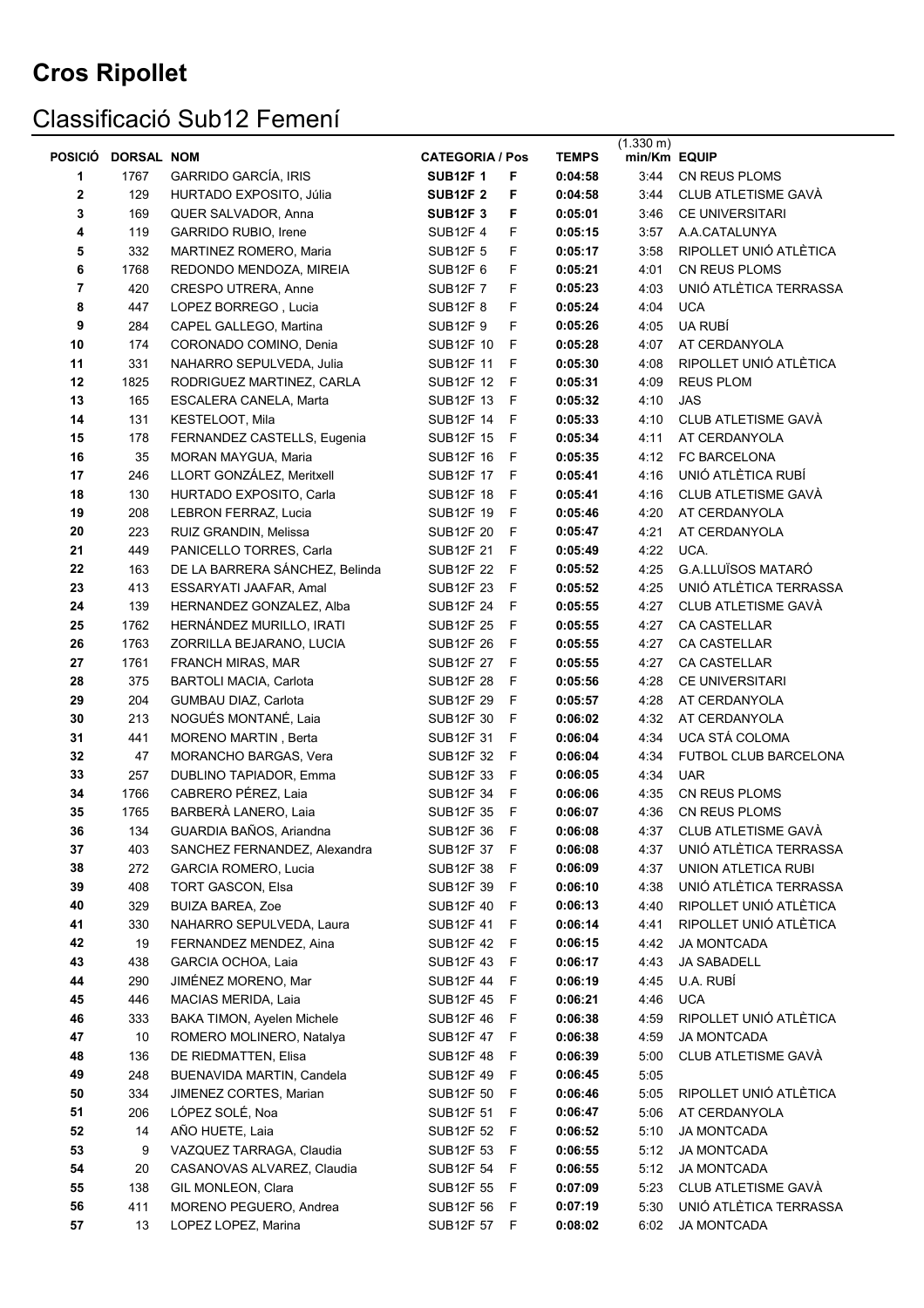# Classificació Sub12 Femení

|                         |                   |                                               |                               |              |                    | $(1.330 \text{ m})$ |                                               |
|-------------------------|-------------------|-----------------------------------------------|-------------------------------|--------------|--------------------|---------------------|-----------------------------------------------|
| <b>POSICIÓ</b>          | <b>DORSAL NOM</b> |                                               | <b>CATEGORIA / Pos</b>        |              | <b>TEMPS</b>       | min/Km EQUIP        |                                               |
| 1                       | 1767              | <b>GARRIDO GARCÍA, IRIS</b>                   | <b>SUB12F1</b>                | F            | 0:04:58            | 3:44                | CN REUS PLOMS                                 |
| 2                       | 129               | HURTADO EXPOSITO, Júlia                       | <b>SUB12F 2</b>               | F            | 0:04:58            | 3:44                | <b>CLUB ATLETISME GAVA</b>                    |
| 3                       | 169               | QUER SALVADOR, Anna                           | <b>SUB12F 3</b>               | F            | 0:05:01            | 3:46                | <b>CE UNIVERSITARI</b>                        |
| 4                       | 119               | <b>GARRIDO RUBIO, Irene</b>                   | <b>SUB12F4</b>                | F            | 0:05:15            | 3:57                | A.A.CATALUNYA                                 |
| 5                       | 332               | MARTINEZ ROMERO, Maria                        | <b>SUB12F 5</b>               | F            | 0:05:17            | 3:58                | RIPOLLET UNIÓ ATLÈTICA                        |
| 6                       | 1768              | REDONDO MENDOZA, MIREIA                       | <b>SUB12F 6</b>               | F            | 0:05:21            | 4:01                | CN REUS PLOMS                                 |
| $\overline{\mathbf{r}}$ | 420               | <b>CRESPO UTRERA, Anne</b>                    | <b>SUB12F7</b>                | F            | 0:05:23            | 4:03                | UNIÓ ATLÈTICA TERRASSA                        |
| 8                       | 447               | LOPEZ BORREGO, Lucia                          | <b>SUB12F 8</b>               | F            | 0:05:24            | 4:04                | <b>UCA</b>                                    |
| 9                       | 284               | CAPEL GALLEGO, Martina                        | <b>SUB12F 9</b>               | F            | 0:05:26            | 4:05                | UA RUBÍ                                       |
| 10                      | 174               | CORONADO COMINO, Denia                        | <b>SUB12F 10</b>              | F            | 0:05:28            | 4:07                | AT CERDANYOLA                                 |
| 11                      | 331               | NAHARRO SEPULVEDA, Julia                      | <b>SUB12F 11</b>              | F            | 0:05:30            | 4:08                | RIPOLLET UNIÓ ATLÈTICA                        |
| 12                      | 1825              | RODRIGUEZ MARTINEZ, CARLA                     | <b>SUB12F 12</b>              | F            | 0:05:31            | 4:09                | <b>REUS PLOM</b>                              |
| 13                      | 165               | ESCALERA CANELA, Marta                        | SUB12F 13                     | F            | 0:05:32            | 4:10                | <b>JAS</b>                                    |
| 14                      | 131               | KESTELOOT, Mila                               | <b>SUB12F 14</b>              | F            | 0:05:33            | 4:10                | CLUB ATLETISME GAVÀ                           |
| 15                      | 178               | FERNANDEZ CASTELLS, Eugenia                   | <b>SUB12F 15</b>              | F            | 0:05:34            | 4:11                | AT CERDANYOLA                                 |
| 16                      | 35                | MORAN MAYGUA, Maria                           | <b>SUB12F 16</b>              | F            | 0:05:35            | 4:12                | FC BARCELONA                                  |
| 17                      | 246               | LLORT GONZÁLEZ, Meritxell                     | <b>SUB12F 17</b>              | F            | 0:05:41            | 4:16                | UNIÓ ATLÈTICA RUBÍ                            |
| 18                      | 130               | HURTADO EXPOSITO, Carla                       | <b>SUB12F 18</b>              | F            | 0:05:41            | 4:16                | CLUB ATLETISME GAVÀ                           |
| 19                      | 208               | LEBRON FERRAZ, Lucia                          | <b>SUB12F 19</b>              | $\mathsf{F}$ | 0:05:46            | 4:20                | AT CERDANYOLA                                 |
| 20                      | 223               | RUIZ GRANDIN, Melissa                         | <b>SUB12F 20</b>              | F            | 0:05:47            | 4:21                | AT CERDANYOLA                                 |
| 21                      | 449               | PANICELLO TORRES, Carla                       | <b>SUB12F 21</b>              | F            | 0:05:49            | 4:22                | UCA.                                          |
| 22                      | 163               | DE LA BARRERA SÁNCHEZ, Belinda                | <b>SUB12F 22</b>              | F            | 0:05:52            | 4:25                | <b>G.A.LLUÏSOS MATARÓ</b>                     |
| 23                      | 413               | ESSARYATI JAAFAR, Amal                        | SUB12F 23                     | $\mathsf{F}$ | 0:05:52            | 4:25                | UNIÓ ATLÈTICA TERRASSA                        |
| 24                      | 139               | HERNANDEZ GONZALEZ, Alba                      | <b>SUB12F 24</b>              | F            | 0:05:55            | 4:27                | CLUB ATLETISME GAVÀ                           |
| 25                      | 1762              | HERNÁNDEZ MURILLO, IRATI                      | <b>SUB12F 25</b>              | F            | 0:05:55            | 4:27                | <b>CA CASTELLAR</b>                           |
| 26                      | 1763              | ZORRILLA BEJARANO, LUCIA                      | <b>SUB12F 26</b>              | F            | 0:05:55            | 4:27                | CA CASTELLAR                                  |
| 27                      | 1761              | FRANCH MIRAS, MAR                             | <b>SUB12F 27</b>              | $\mathsf{F}$ | 0:05:55            | 4:27                | CA CASTELLAR                                  |
| 28                      | 375               | <b>BARTOLI MACIA, Carlota</b>                 | <b>SUB12F 28</b>              | F            | 0:05:56            | 4:28                | CE UNIVERSITARI                               |
| 29                      | 204               | GUMBAU DIAZ, Carlota                          | <b>SUB12F 29</b>              | $\mathsf{F}$ | 0:05:57            | 4:28                | AT CERDANYOLA                                 |
| 30                      | 213               | NOGUÉS MONTANÉ, Laia                          | SUB12F 30                     | $\mathsf{F}$ | 0:06:02            | 4:32                | AT CERDANYOLA                                 |
| 31                      | 441               | MORENO MARTIN, Berta                          | <b>SUB12F 31</b>              | $\mathsf{F}$ | 0:06:04            | 4:34                | UCA STÁ COLOMA                                |
| 32                      | 47                | MORANCHO BARGAS, Vera                         | SUB12F 32                     | $\mathsf{F}$ | 0:06:04<br>0:06:05 | 4:34                | FUTBOL CLUB BARCELONA                         |
| 33                      | 257               | DUBLINO TAPIADOR, Emma<br>CABRERO PÉREZ, Laia | SUB12F 33                     | $\mathsf{F}$ |                    | 4:34                | <b>UAR</b><br>CN REUS PLOMS                   |
| 34<br>35                | 1766              | BARBERÀ LANERO, Laia                          | SUB12F 34                     | F<br>- F     | 0:06:06<br>0:06:07 | 4:35                | <b>CN REUS PLOMS</b>                          |
|                         | 1765              | GUARDIA BAÑOS, Ariandna                       | SUB12F 35                     |              |                    | 4:36                |                                               |
| 36<br>37                | 134<br>403        | SANCHEZ FERNANDEZ, Alexandra                  | SUB12F 36<br><b>SUB12F 37</b> | - F<br>F     | 0:06:08<br>0:06:08 | 4:37<br>4:37        | CLUB ATLETISME GAVÀ<br>UNIÓ ATLÈTICA TERRASSA |
| 38                      | 272               | <b>GARCIA ROMERO, Lucia</b>                   | <b>SUB12F 38</b>              | F            | 0:06:09            | 4:37                | UNION ATLETICA RUBI                           |
| 39                      | 408               | TORT GASCON, Elsa                             | SUB12F 39                     | F            | 0:06:10            | 4:38                | UNIÓ ATLÈTICA TERRASSA                        |
| 40                      | 329               | <b>BUIZA BAREA, Zoe</b>                       | <b>SUB12F 40</b>              | -F           | 0:06:13            | 4:40                | RIPOLLET UNIÓ ATLÈTICA                        |
| 41                      | 330               | NAHARRO SEPULVEDA, Laura                      | SUB12F 41                     | - F          | 0:06:14            | 4:41                | RIPOLLET UNIÓ ATLÈTICA                        |
| 42                      | 19                | FERNANDEZ MENDEZ, Aina                        | SUB12F 42 F                   |              | 0:06:15            | 4:42                | JA MONTCADA                                   |
| 43                      | 438               | GARCIA OCHOA, Laia                            | <b>SUB12F 43</b>              | - F          | 0:06:17            | 4:43                | <b>JA SABADELL</b>                            |
| 44                      | 290               | JIMÉNEZ MORENO, Mar                           | SUB12F 44 F                   |              | 0:06:19            | 4:45                | U.A. RUBÍ                                     |
| 45                      | 446               | MACIAS MERIDA, Laia                           | SUB12F 45 F                   |              | 0:06:21            | 4:46                | <b>UCA</b>                                    |
| 46                      | 333               | BAKA TIMON, Ayelen Michele                    | SUB12F 46                     | - F          | 0:06:38            | 4:59                | RIPOLLET UNIÓ ATLÈTICA                        |
| 47                      | 10                | ROMERO MOLINERO, Natalya                      | SUB12F 47 F                   |              | 0:06:38            | 4:59                | <b>JA MONTCADA</b>                            |
| 48                      | 136               | DE RIEDMATTEN, Elisa                          | <b>SUB12F 48</b>              | - F          | 0:06:39            | 5:00                | CLUB ATLETISME GAVÀ                           |
| 49                      | 248               | BUENAVIDA MARTIN, Candela                     | <b>SUB12F 49</b>              | - F          | 0:06:45            | 5:05                |                                               |
| 50                      | 334               | JIMENEZ CORTES, Marian                        | SUB12F 50                     | - F          | 0:06:46            | 5:05                | RIPOLLET UNIÓ ATLÈTICA                        |
| 51                      | 206               | LÓPEZ SOLÉ, Noa                               | SUB12F 51                     | - F          | 0:06:47            | 5:06                | AT CERDANYOLA                                 |
| ${\bf 52}$              | 14                | AÑO HUETE, Laia                               | SUB12F 52                     | - F          | 0:06:52            | 5:10                | <b>JA MONTCADA</b>                            |
| 53                      | 9                 | VAZQUEZ TARRAGA, Claudia                      | SUB12F 53                     | F            | 0:06:55            | 5:12                | <b>JA MONTCADA</b>                            |
| 54                      | 20                | CASANOVAS ALVAREZ, Claudia                    | SUB12F 54 F                   |              | 0:06:55            | 5:12                | <b>JA MONTCADA</b>                            |
| 55                      | 138               | GIL MONLEON, Clara                            | SUB12F 55                     | - F          | 0:07:09            | 5:23                | CLUB ATLETISME GAVÀ                           |
| 56                      | 411               | MORENO PEGUERO, Andrea                        | <b>SUB12F 56</b>              | F            | 0:07:19            | 5:30                | UNIÓ ATLÈTICA TERRASSA                        |
| 57                      | 13                | LOPEZ LOPEZ, Marina                           | SUB12F 57 F                   |              | 0:08:02            | 6:02                | <b>JA MONTCADA</b>                            |
|                         |                   |                                               |                               |              |                    |                     |                                               |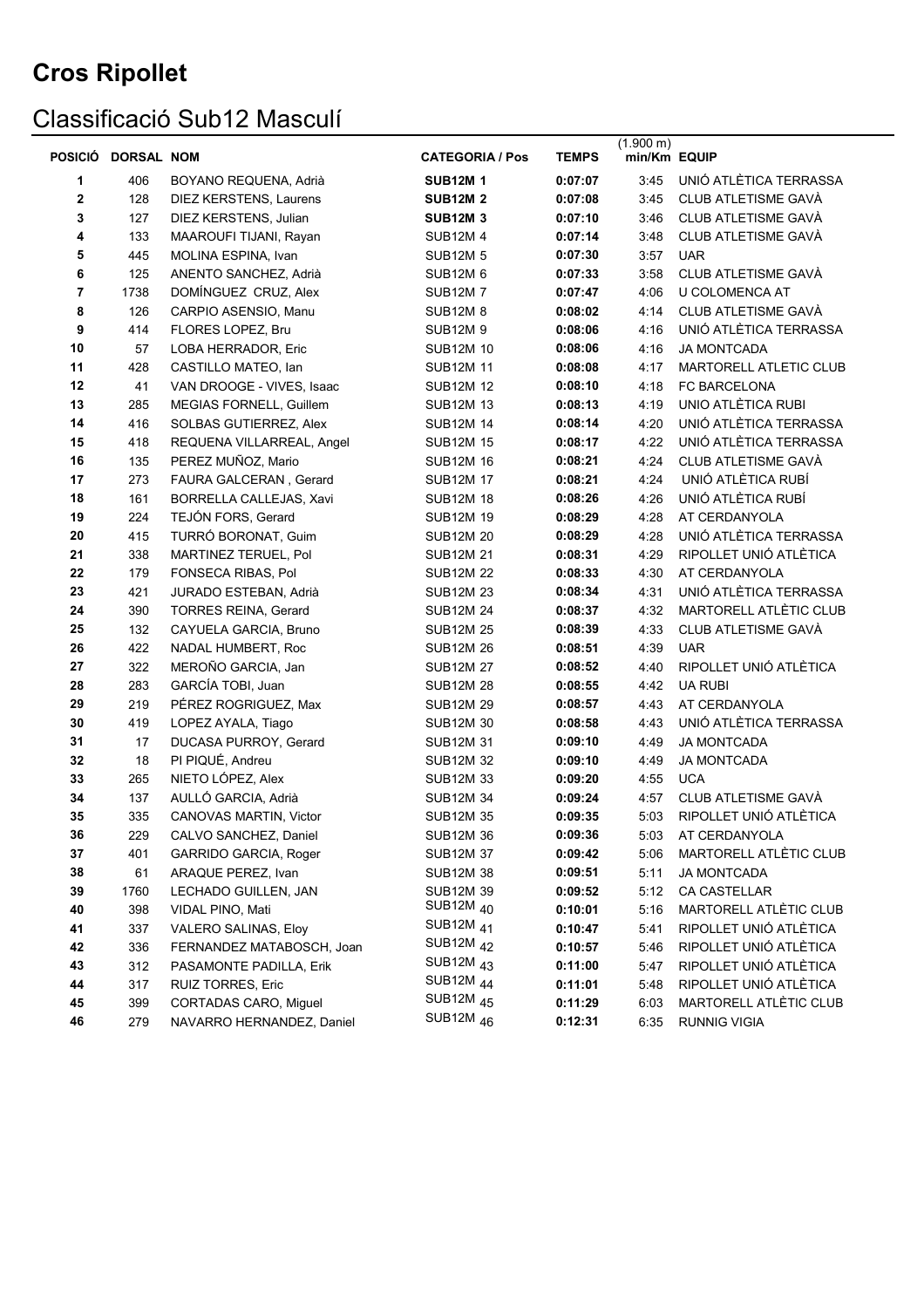### Classificació Sub12 Masculí

|             | POSICIO DORSAL NOM |                               | <b>CATEGORIA / Pos</b>             | <b>TEMPS</b> | $(1.900 \text{ m})$<br>min/Km EQUIP |                        |
|-------------|--------------------|-------------------------------|------------------------------------|--------------|-------------------------------------|------------------------|
| 1           | 406                | BOYANO REQUENA, Adrià         | <b>SUB12M1</b>                     | 0:07:07      | 3:45                                | UNIÓ ATLÈTICA TERRASSA |
| $\mathbf 2$ | 128                | <b>DIEZ KERSTENS, Laurens</b> | <b>SUB12M 2</b>                    | 0:07:08      | 3:45                                | CLUB ATLETISME GAVÀ    |
| 3           | 127                | DIEZ KERSTENS, Julian         | <b>SUB12M 3</b>                    | 0:07:10      | 3:46                                | CLUB ATLETISME GAVÀ    |
| 4           | 133                | MAAROUFI TIJANI, Rayan        | <b>SUB12M4</b>                     | 0:07:14      | 3:48                                | CLUB ATLETISME GAVÀ    |
| 5           | 445                | MOLINA ESPINA, Ivan           | <b>SUB12M 5</b>                    | 0:07:30      | 3:57                                | <b>UAR</b>             |
| 6           | 125                | ANENTO SANCHEZ, Adrià         | <b>SUB12M 6</b>                    | 0:07:33      | 3:58                                | CLUB ATLETISME GAVÀ    |
| 7           | 1738               | DOMÍNGUEZ CRUZ, Alex          | <b>SUB12M7</b>                     | 0:07:47      | 4:06                                | U COLOMENCA AT         |
| 8           | 126                | CARPIO ASENSIO, Manu          | <b>SUB12M 8</b>                    | 0:08:02      | 4:14                                | CLUB ATLETISME GAVÀ    |
| 9           | 414                | FLORES LOPEZ, Bru             | <b>SUB12M 9</b>                    | 0:08:06      | 4:16                                | UNIÓ ATLÈTICA TERRASSA |
| 10          | 57                 | LOBA HERRADOR, Eric           | <b>SUB12M 10</b>                   | 0:08:06      | 4:16                                | <b>JA MONTCADA</b>     |
| 11          | 428                | CASTILLO MATEO, Ian           | <b>SUB12M 11</b>                   | 0:08:08      | 4:17                                | MARTORELL ATLETIC CLUB |
| 12          | 41                 | VAN DROOGE - VIVES, Isaac     | <b>SUB12M 12</b>                   | 0:08:10      | 4:18                                | FC BARCELONA           |
| 13          | 285                | MEGIAS FORNELL, Guillem       | <b>SUB12M 13</b>                   | 0:08:13      | 4:19                                | UNIO ATLÈTICA RUBI     |
| 14          | 416                | SOLBAS GUTIERREZ, Alex        | <b>SUB12M 14</b>                   | 0:08:14      | 4:20                                | UNIÓ ATLÈTICA TERRASSA |
| 15          | 418                | REQUENA VILLARREAL, Angel     | <b>SUB12M 15</b>                   | 0:08:17      | 4:22                                | UNIÓ ATLÈTICA TERRASSA |
| 16          | 135                | PEREZ MUÑOZ, Mario            | <b>SUB12M 16</b>                   | 0:08:21      | 4:24                                | CLUB ATLETISME GAVÀ    |
| 17          | 273                | FAURA GALCERAN, Gerard        | <b>SUB12M 17</b>                   | 0:08:21      | 4:24                                | UNIÓ ATLÈTICA RUBÍ     |
| 18          | 161                | BORRELLA CALLEJAS, Xavi       | <b>SUB12M 18</b>                   | 0:08:26      | 4:26                                | UNIÓ ATLÈTICA RUBÍ     |
| 19          | 224                | TEJÓN FORS, Gerard            | <b>SUB12M 19</b>                   | 0:08:29      | 4:28                                | AT CERDANYOLA          |
| 20          | 415                | TURRÓ BORONAT, Guim           | <b>SUB12M 20</b>                   | 0:08:29      | 4:28                                | UNIÓ ATLÈTICA TERRASSA |
| 21          | 338                | MARTINEZ TERUEL, Pol          | <b>SUB12M 21</b>                   | 0:08:31      | 4:29                                | RIPOLLET UNIÓ ATLÈTICA |
| 22          | 179                | FONSECA RIBAS, Pol            | <b>SUB12M 22</b>                   | 0:08:33      | 4:30                                | AT CERDANYOLA          |
| 23          | 421                | JURADO ESTEBAN, Adrià         | <b>SUB12M 23</b>                   | 0:08:34      | 4:31                                | UNIÓ ATLÈTICA TERRASSA |
| 24          | 390                | <b>TORRES REINA, Gerard</b>   | <b>SUB12M 24</b>                   | 0:08:37      | 4:32                                | MARTORELL ATLÈTIC CLUB |
| 25          | 132                | CAYUELA GARCIA, Bruno         | <b>SUB12M 25</b>                   | 0:08:39      | 4:33                                | CLUB ATLETISME GAVÀ    |
| 26          | 422                | NADAL HUMBERT, Roc            | <b>SUB12M 26</b>                   | 0:08:51      | 4:39                                | <b>UAR</b>             |
| 27          | 322                | MEROÑO GARCIA, Jan            | <b>SUB12M 27</b>                   | 0:08:52      | 4:40                                | RIPOLLET UNIÓ ATLÈTICA |
| 28          | 283                | GARCÍA TOBI, Juan             | <b>SUB12M 28</b>                   | 0:08:55      | 4:42                                | <b>UA RUBI</b>         |
| 29          | 219                | PÉREZ ROGRIGUEZ, Max          | <b>SUB12M 29</b>                   | 0:08:57      | 4:43                                | AT CERDANYOLA          |
| 30          | 419                | LOPEZ AYALA, Tiago            | <b>SUB12M 30</b>                   | 0:08:58      | 4:43                                | UNIÓ ATLÈTICA TERRASSA |
| 31          | 17                 | DUCASA PURROY, Gerard         | <b>SUB12M 31</b>                   | 0:09:10      | 4:49                                | <b>JA MONTCADA</b>     |
| 32          | 18                 | PI PIQUÉ, Andreu              | <b>SUB12M 32</b>                   | 0:09:10      | 4:49                                | <b>JA MONTCADA</b>     |
| 33          | 265                | NIETO LÓPEZ, Alex             | <b>SUB12M 33</b>                   | 0:09:20      | 4:55                                | <b>UCA</b>             |
| 34          | 137                | AULLÓ GARCIA, Adrià           | <b>SUB12M 34</b>                   | 0:09:24      | 4:57                                | CLUB ATLETISME GAVÀ    |
| 35          | 335                | CANOVAS MARTIN, Victor        | <b>SUB12M 35</b>                   | 0:09:35      | 5:03                                | RIPOLLET UNIÓ ATLÈTICA |
| 36          | 229                | CALVO SANCHEZ, Daniel         | <b>SUB12M 36</b>                   | 0:09:36      | 5:03                                | AT CERDANYOLA          |
| 37          | 401                | GARRIDO GARCIA, Roger         | <b>SUB12M 37</b>                   | 0:09:42      | 5:06                                | MARTORELL ATLÈTIC CLUB |
| 38          | 61                 | ARAQUE PEREZ, Ivan            | <b>SUB12M 38</b>                   | 0:09:51      | 5:11                                | <b>JA MONTCADA</b>     |
| 39          | 1760               | LECHADO GUILLEN, JAN          | <b>SUB12M 39</b><br>SUB12M $_{40}$ | 0:09:52      | 5:12                                | CA CASTELLAR           |
| 40          | 398                | VIDAL PINO, Mati              | SUB12M <sub>41</sub>               | 0:10:01      | 5:16                                | MARTORELL ATLÈTIC CLUB |
| 41          | 337                | VALERO SALINAS, Eloy          | SUB12M <sub>42</sub>               | 0:10:47      | 5:41                                | RIPOLLET UNIÓ ATLÈTICA |
| 42          | 336                | FERNANDEZ MATABOSCH, Joan     | SUB12M <sub>43</sub>               | 0:10:57      | 5:46                                | RIPOLLET UNIÓ ATLÈTICA |
| 43          | 312                | PASAMONTE PADILLA, Erik       | SUB12M <sub>44</sub>               | 0:11:00      | 5:47                                | RIPOLLET UNIÓ ATLÈTICA |
| 44          | 317                | RUIZ TORRES, Eric             | SUB12M <sub>45</sub>               | 0:11:01      | 5:48                                | RIPOLLET UNIÓ ATLÈTICA |
| 45          | 399                | CORTADAS CARO, Miguel         | SUB12M <sub>46</sub>               | 0:11:29      | 6:03                                | MARTORELL ATLÈTIC CLUB |
| 46          | 279                | NAVARRO HERNANDEZ, Daniel     |                                    | 0:12:31      | 6:35                                | <b>RUNNIG VIGIA</b>    |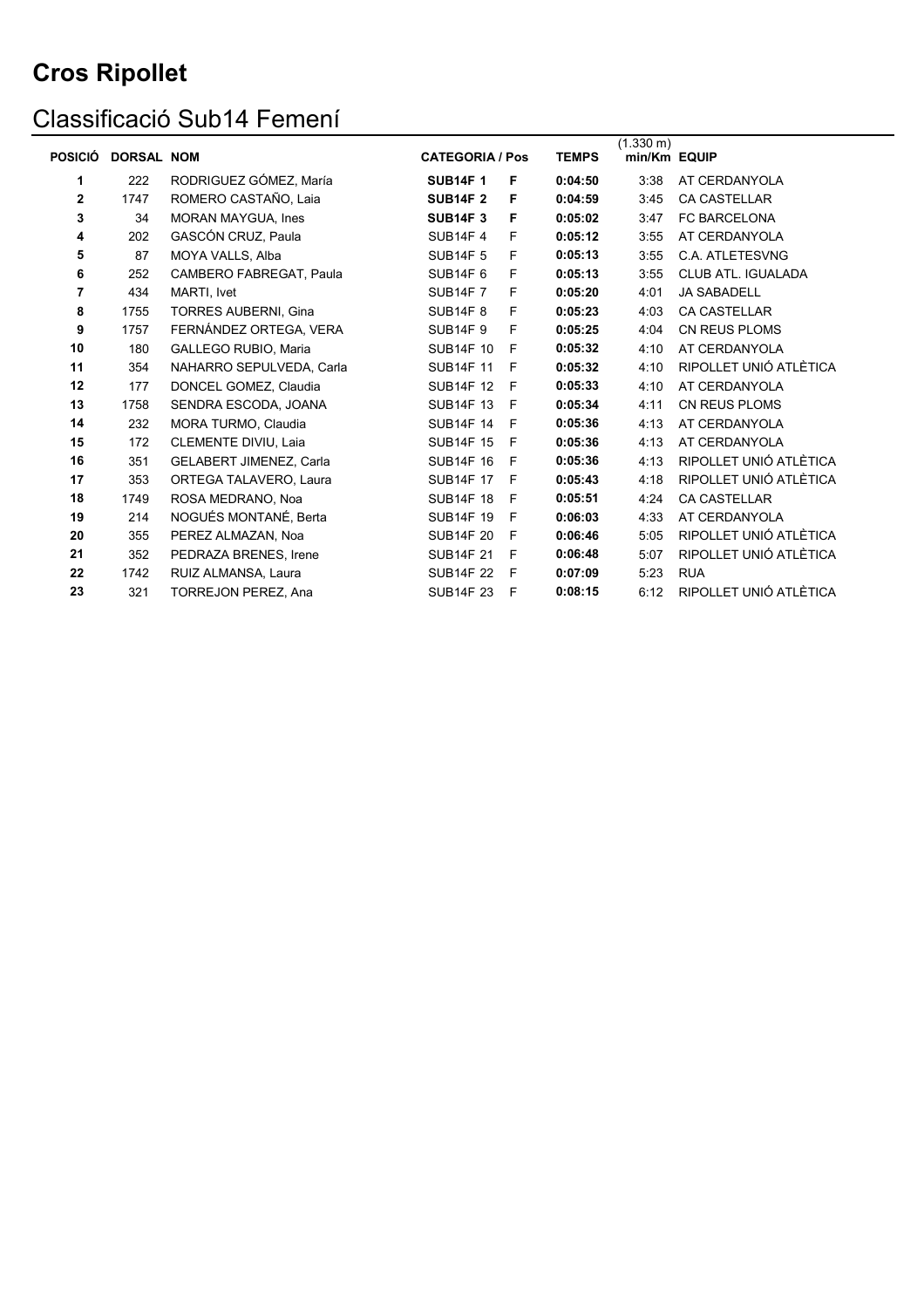# Classificació Sub14 Femení

| <b>POSICIÓ</b> | <b>DORSAL NOM</b> |                             | <b>CATEGORIA / Pos</b> |   | <b>TEMPS</b> | $(1.330 \text{ m})$<br>min/Km EQUIP |                           |
|----------------|-------------------|-----------------------------|------------------------|---|--------------|-------------------------------------|---------------------------|
| 1              | 222               | RODRIGUEZ GÓMEZ, María      | <b>SUB14F1</b>         | F | 0:04:50      | 3:38                                | AT CERDANYOLA             |
| 2              | 1747              | ROMERO CASTAÑO, Laia        | <b>SUB14F 2</b>        | F | 0:04:59      | 3:45                                | <b>CA CASTELLAR</b>       |
| 3              | 34                | <b>MORAN MAYGUA, Ines</b>   | <b>SUB14F3</b>         | F | 0:05:02      | 3:47                                | FC BARCELONA              |
| 4              | 202               | GASCÓN CRUZ, Paula          | <b>SUB14F4</b>         | F | 0:05:12      | 3:55                                | AT CERDANYOLA             |
| 5              | 87                | MOYA VALLS, Alba            | <b>SUB14F 5</b>        | F | 0:05:13      | 3:55                                | C.A. ATLETESVNG           |
| 6              | 252               | CAMBERO FABREGAT, Paula     | <b>SUB14F 6</b>        | F | 0:05:13      | 3:55                                | <b>CLUB ATL. IGUALADA</b> |
| 7              | 434               | MARTI. Ivet                 | <b>SUB14F7</b>         | F | 0:05:20      | 4:01                                | <b>JA SABADELL</b>        |
| 8              | 1755              | <b>TORRES AUBERNI, Gina</b> | <b>SUB14F 8</b>        | F | 0:05:23      | 4:03                                | <b>CA CASTELLAR</b>       |
| 9              | 1757              | FERNÁNDEZ ORTEGA, VERA      | <b>SUB14F 9</b>        | F | 0:05:25      | 4:04                                | <b>CN REUS PLOMS</b>      |
| 10             | 180               | GALLEGO RUBIO. Maria        | <b>SUB14F 10</b>       | F | 0:05:32      | 4:10                                | AT CERDANYOLA             |
| 11             | 354               | NAHARRO SEPULVEDA, Carla    | <b>SUB14F 11</b>       | F | 0:05:32      | 4:10                                | RIPOLLET UNIÓ ATLÈTICA    |
| 12             | 177               | DONCEL GOMEZ, Claudia       | <b>SUB14F 12</b>       | F | 0:05:33      | 4:10                                | AT CERDANYOLA             |
| 13             | 1758              | SENDRA ESCODA, JOANA        | <b>SUB14F 13</b>       | F | 0:05:34      | 4:11                                | <b>CN REUS PLOMS</b>      |
| 14             | 232               | MORA TURMO, Claudia         | <b>SUB14F 14</b>       | F | 0:05:36      | 4:13                                | AT CERDANYOLA             |
| 15             | 172               | CLEMENTE DIVIU, Laia        | <b>SUB14F 15</b>       | F | 0:05:36      | 4:13                                | AT CERDANYOLA             |
| 16             | 351               | GELABERT JIMENEZ, Carla     | <b>SUB14F 16</b>       | F | 0:05:36      | 4:13                                | RIPOLLET UNIÓ ATLÈTICA    |
| 17             | 353               | ORTEGA TALAVERO, Laura      | <b>SUB14F 17</b>       | F | 0:05:43      | 4:18                                | RIPOLLET UNIÓ ATLÈTICA    |
| 18             | 1749              | ROSA MEDRANO, Noa           | <b>SUB14F 18</b>       | F | 0:05:51      | 4:24                                | CA CASTELLAR              |
| 19             | 214               | NOGUÉS MONTANÉ, Berta       | <b>SUB14F 19</b>       | F | 0:06:03      | 4:33                                | AT CERDANYOLA             |
| 20             | 355               | PEREZ ALMAZAN, Noa          | <b>SUB14F 20</b>       | F | 0:06:46      | 5:05                                | RIPOLLET UNIÓ ATLÈTICA    |
| 21             | 352               | PEDRAZA BRENES, Irene       | <b>SUB14F 21</b>       | F | 0:06:48      | 5:07                                | RIPOLLET UNIÓ ATLÈTICA    |
| 22             | 1742              | RUIZ ALMANSA, Laura         | <b>SUB14F 22</b>       | F | 0:07:09      | 5:23                                | <b>RUA</b>                |
| 23             | 321               | <b>TORREJON PEREZ, Ana</b>  | <b>SUB14F 23</b>       | F | 0:08:15      | 6:12                                | RIPOLLET UNIÓ ATLÈTICA    |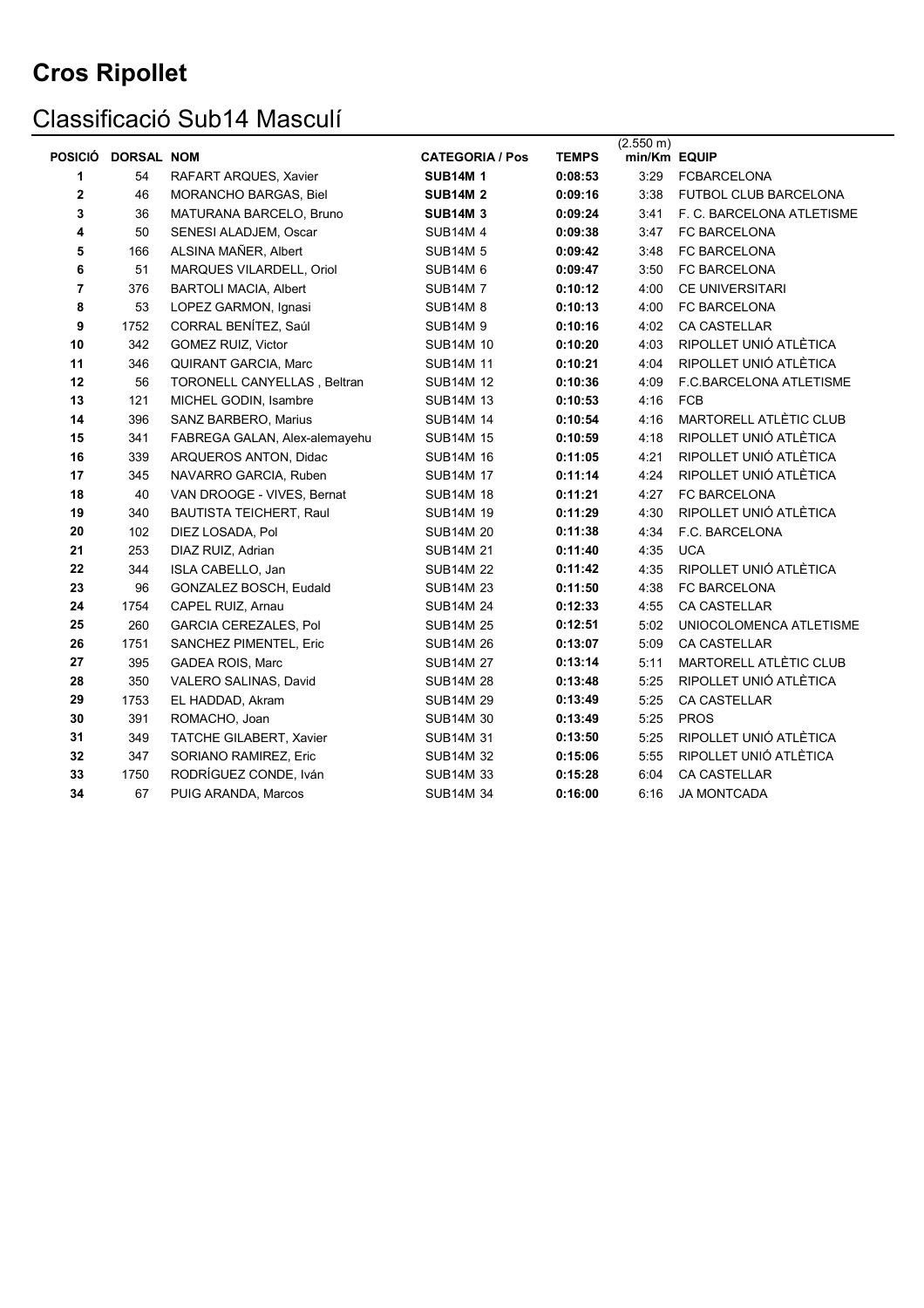# Classificació Sub14 Masculí

| <b>POSICIÓ</b> | <b>DORSAL NOM</b> |                               | <b>CATEGORIA / Pos</b> | <b>TEMPS</b> | (2.550 m)<br>min/Km EQUIP |                           |
|----------------|-------------------|-------------------------------|------------------------|--------------|---------------------------|---------------------------|
| 1              | 54                | RAFART ARQUES, Xavier         | <b>SUB14M1</b>         | 0:08:53      | 3:29                      | <b>FCBARCELONA</b>        |
| 2              | 46                | MORANCHO BARGAS, Biel         | <b>SUB14M 2</b>        | 0:09:16      | 3:38                      | FUTBOL CLUB BARCELONA     |
| 3              | 36                | MATURANA BARCELO, Bruno       | <b>SUB14M 3</b>        | 0:09:24      | 3:41                      | F. C. BARCELONA ATLETISME |
| 4              | 50                | SENESI ALADJEM, Oscar         | <b>SUB14M4</b>         | 0:09:38      | 3:47                      | FC BARCELONA              |
| 5              | 166               | ALSINA MAÑER, Albert          | <b>SUB14M 5</b>        | 0:09:42      | 3:48                      | FC BARCELONA              |
| 6              | 51                | MARQUES VILARDELL, Oriol      | <b>SUB14M 6</b>        | 0:09:47      | 3:50                      | FC BARCELONA              |
| 7              | 376               | <b>BARTOLI MACIA, Albert</b>  | <b>SUB14M7</b>         | 0:10:12      | 4:00                      | <b>CE UNIVERSITARI</b>    |
| 8              | 53                | LOPEZ GARMON, Ignasi          | <b>SUB14M8</b>         | 0:10:13      | 4:00                      | FC BARCELONA              |
| 9              | 1752              | CORRAL BENÍTEZ, Saúl          | <b>SUB14M9</b>         | 0:10:16      | 4:02                      | <b>CA CASTELLAR</b>       |
| 10             | 342               | GOMEZ RUIZ, Victor            | <b>SUB14M 10</b>       | 0:10:20      | 4:03                      | RIPOLLET UNIÓ ATLÈTICA    |
| 11             | 346               | QUIRANT GARCIA, Marc          | <b>SUB14M 11</b>       | 0:10:21      | 4:04                      | RIPOLLET UNIÓ ATLÈTICA    |
| 12             | 56                | TORONELL CANYELLAS, Beltran   | <b>SUB14M 12</b>       | 0:10:36      | 4:09                      | F.C.BARCELONA ATLETISME   |
| 13             | 121               | MICHEL GODIN, Isambre         | <b>SUB14M 13</b>       | 0:10:53      | 4:16                      | <b>FCB</b>                |
| 14             | 396               | SANZ BARBERO, Marius          | <b>SUB14M 14</b>       | 0:10:54      | 4:16                      | MARTORELL ATLÈTIC CLUB    |
| 15             | 341               | FABREGA GALAN, Alex-alemayehu | <b>SUB14M 15</b>       | 0:10:59      | 4:18                      | RIPOLLET UNIÓ ATLÈTICA    |
| 16             | 339               | ARQUEROS ANTON, Didac         | <b>SUB14M 16</b>       | 0:11:05      | 4:21                      | RIPOLLET UNIÓ ATLÈTICA    |
| 17             | 345               | NAVARRO GARCIA, Ruben         | <b>SUB14M 17</b>       | 0:11:14      | 4:24                      | RIPOLLET UNIÓ ATLÈTICA    |
| 18             | 40                | VAN DROOGE - VIVES, Bernat    | <b>SUB14M 18</b>       | 0:11:21      | 4:27                      | FC BARCELONA              |
| 19             | 340               | BAUTISTA TEICHERT, Raul       | <b>SUB14M 19</b>       | 0:11:29      | 4:30                      | RIPOLLET UNIÓ ATLÈTICA    |
| 20             | 102               | DIEZ LOSADA, Pol              | <b>SUB14M 20</b>       | 0:11:38      | 4:34                      | F.C. BARCELONA            |
| 21             | 253               | DIAZ RUIZ, Adrian             | <b>SUB14M 21</b>       | 0:11:40      | 4:35                      | <b>UCA</b>                |
| ${\bf 22}$     | 344               | ISLA CABELLO, Jan             | <b>SUB14M 22</b>       | 0:11:42      | 4:35                      | RIPOLLET UNIÓ ATLÈTICA    |
| 23             | 96                | GONZALEZ BOSCH, Eudald        | <b>SUB14M 23</b>       | 0:11:50      | 4:38                      | FC BARCELONA              |
| 24             | 1754              | CAPEL RUIZ, Arnau             | <b>SUB14M 24</b>       | 0:12:33      | 4:55                      | <b>CA CASTELLAR</b>       |
| 25             | 260               | <b>GARCIA CEREZALES, Pol</b>  | <b>SUB14M 25</b>       | 0:12:51      | 5:02                      | UNIOCOLOMENCA ATLETISME   |
| 26             | 1751              | SANCHEZ PIMENTEL, Eric        | <b>SUB14M 26</b>       | 0:13:07      | 5:09                      | CA CASTELLAR              |
| 27             | 395               | GADEA ROIS, Marc              | <b>SUB14M 27</b>       | 0:13:14      | 5:11                      | MARTORELL ATLÈTIC CLUB    |
| 28             | 350               | VALERO SALINAS, David         | <b>SUB14M 28</b>       | 0:13:48      | 5:25                      | RIPOLLET UNIÓ ATLÈTICA    |
| 29             | 1753              | EL HADDAD, Akram              | <b>SUB14M 29</b>       | 0:13:49      | 5:25                      | CA CASTELLAR              |
| 30             | 391               | ROMACHO, Joan                 | <b>SUB14M 30</b>       | 0:13:49      | 5:25                      | <b>PROS</b>               |
| 31             | 349               | TATCHE GILABERT, Xavier       | <b>SUB14M 31</b>       | 0:13:50      | 5:25                      | RIPOLLET UNIÓ ATLÈTICA    |
| 32             | 347               | SORIANO RAMIREZ, Eric         | <b>SUB14M 32</b>       | 0:15:06      | 5:55                      | RIPOLLET UNIÓ ATLÈTICA    |
| 33             | 1750              | RODRÍGUEZ CONDE, Iván         | <b>SUB14M 33</b>       | 0:15:28      | 6:04                      | CA CASTELLAR              |
| 34             | 67                | PUIG ARANDA, Marcos           | <b>SUB14M 34</b>       | 0:16:00      | 6:16                      | <b>JA MONTCADA</b>        |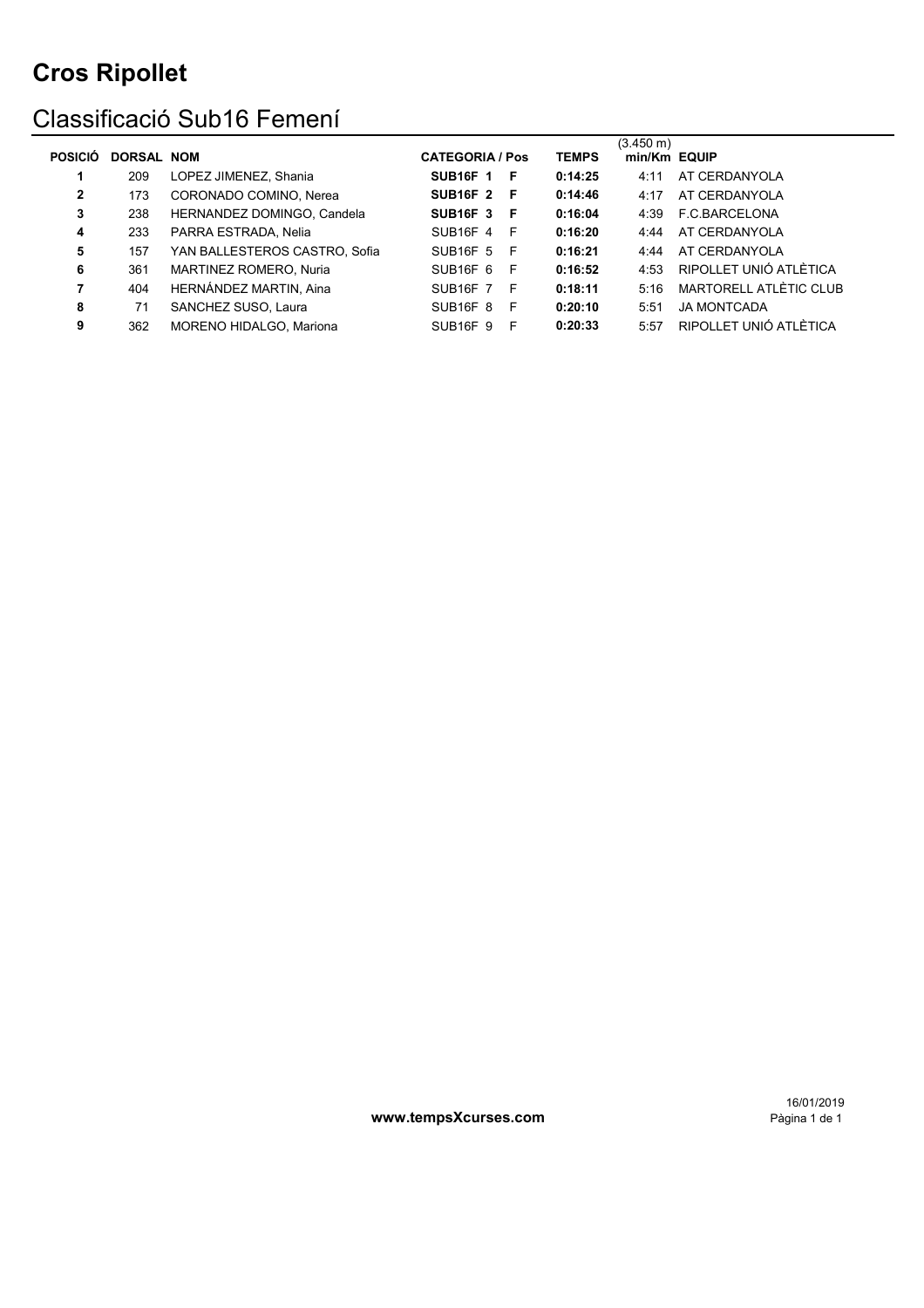### Classificació Sub16 Femení

| <b>POSICIO</b> | <b>DORSAL NOM</b> |                               | <b>CATEGORIA / Pos</b>           |     | <b>TEMPS</b> | $(3.450 \text{ m})$<br>min/Km EQUIP |                        |
|----------------|-------------------|-------------------------------|----------------------------------|-----|--------------|-------------------------------------|------------------------|
| 1              | 209               | LOPEZ JIMENEZ, Shania         | <b>SUB16F 1</b>                  | - F | 0:14:25      | 4:11                                | AT CERDANYOLA          |
| $\mathbf{2}$   | 173               | CORONADO COMINO, Nerea        | <b>SUB16F 2 F</b>                |     | 0:14:46      | 4:17                                | AT CERDANYOLA          |
| 3              | 238               | HERNANDEZ DOMINGO, Candela    | <b>SUB16F 3</b>                  | - F | 0:16:04      | 4:39                                | F.C.BARCELONA          |
| 4              | 233               | PARRA ESTRADA, Nelia          | <b>SUB16F 4</b>                  | - F | 0:16:20      | 4:44                                | AT CERDANYOLA          |
| 5              | 157               | YAN BALLESTEROS CASTRO, Sofia | <b>SUB16F 5</b>                  | - F | 0:16:21      | 4.44                                | AT CERDANYOLA          |
| 6              | 361               | MARTINEZ ROMERO, Nuria        | SUB <sub>16</sub> F <sub>6</sub> | - F | 0:16:52      | 4:53                                | RIPOLLET UNIÓ ATLÈTICA |
|                | 404               | HERNÁNDEZ MARTIN, Aina        | SUB <sub>16</sub> F 7 F          |     | 0:18:11      | 5:16                                | MARTORELL ATLÈTIC CLUB |
| 8              | 71                | SANCHEZ SUSO, Laura           | SUB <sub>16F</sub> 8             | F.  | 0:20:10      | 5:51                                | <b>JA MONTCADA</b>     |
| 9              | 362               | MORENO HIDALGO. Mariona       | <b>SUB16F 9</b>                  | -F  | 0:20:33      | 5:57                                | RIPOLLET UNIÓ ATLÈTICA |

www.tempsXcurses.com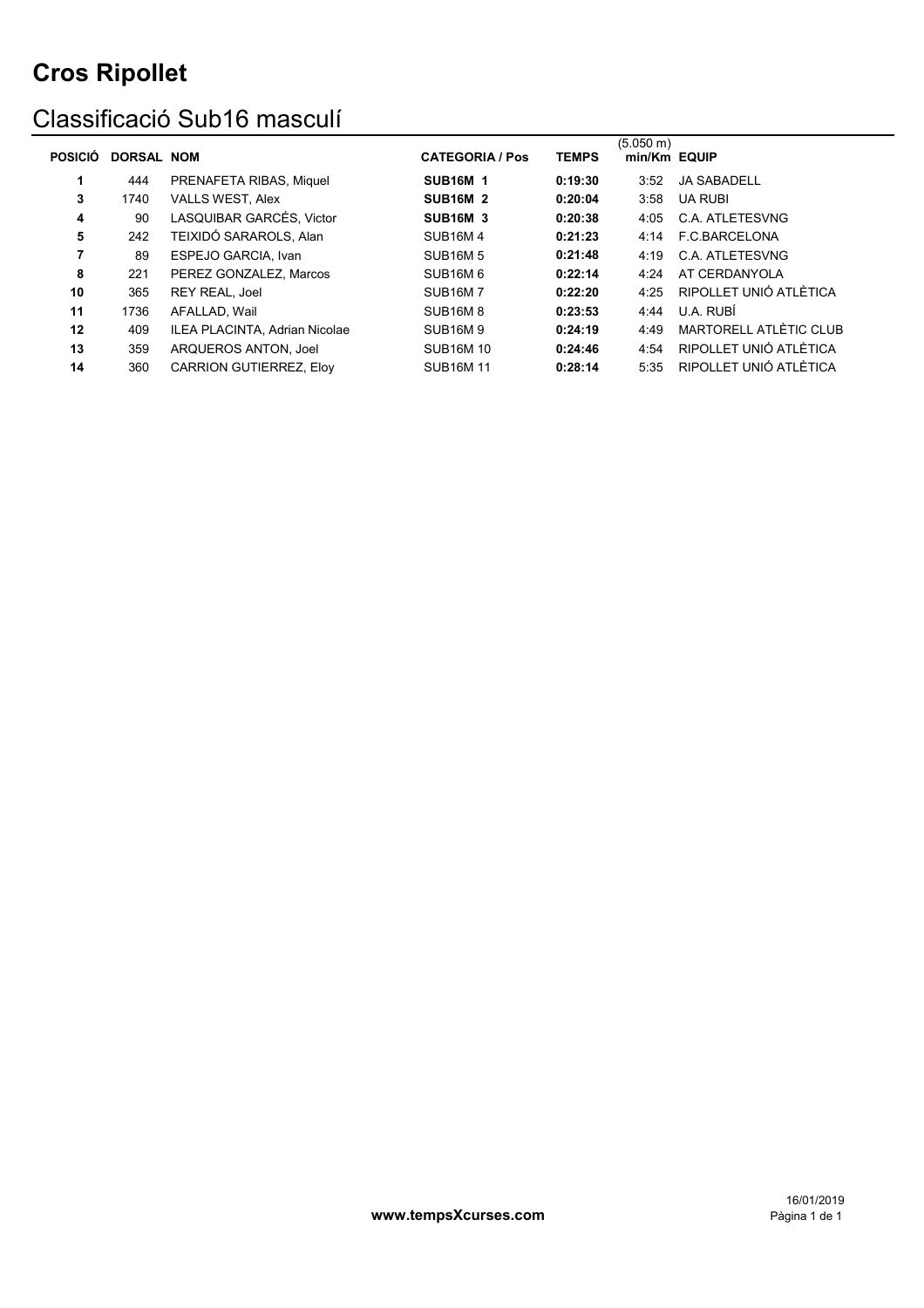### Classificació Sub16 masculí

| <b>POSICIÓ</b> | <b>DORSAL NOM</b> |                                      | <b>CATEGORIA / Pos</b>           | <b>TEMPS</b> | (5.050 m)<br>min/Km EQUIP |                        |
|----------------|-------------------|--------------------------------------|----------------------------------|--------------|---------------------------|------------------------|
| 1              | 444               | PRENAFETA RIBAS, Miquel              | <b>SUB16M 1</b>                  | 0:19:30      | 3:52                      | <b>JA SABADELL</b>     |
| 3              | 1740              | <b>VALLS WEST, Alex</b>              | <b>SUB16M 2</b>                  | 0:20:04      | 3:58                      | <b>UA RUBI</b>         |
| 4              | 90                | LASQUIBAR GARCÉS, Victor             | <b>SUB16M 3</b>                  | 0:20:38      | 4:05                      | <b>C.A. ATLETESVNG</b> |
| 5              | 242               | TEIXIDÓ SARAROLS, Alan               | <b>SUB16M4</b>                   | 0:21:23      | 4:14                      | F.C.BARCELONA          |
|                | 89                | ESPEJO GARCIA, Ivan                  | <b>SUB16M5</b>                   | 0:21:48      | 4:19                      | <b>C.A. ATLETESVNG</b> |
| 8              | 221               | PEREZ GONZALEZ. Marcos               | SUB <sub>16</sub> M <sub>6</sub> | 0:22:14      | 4:24                      | AT CERDANYOLA          |
| 10             | 365               | <b>REY REAL, Joel</b>                | <b>SUB16M7</b>                   | 0:22:20      | 4.25                      | RIPOLLET UNIÓ ATLÈTICA |
| 11             | 1736              | AFALLAD, Wail                        | <b>SUB16M8</b>                   | 0:23:53      | 4:44                      | U.A. RUBÍ              |
| 12             | 409               | <b>ILEA PLACINTA, Adrian Nicolae</b> | <b>SUB16M9</b>                   | 0:24:19      | 4:49                      | MARTORELL ATLÈTIC CLUB |
| 13             | 359               | ARQUEROS ANTON, Joel                 | <b>SUB16M10</b>                  | 0:24:46      | 4:54                      | RIPOLLET UNIÓ ATLÈTICA |
| 14             | 360               | <b>CARRION GUTIERREZ. Elov</b>       | <b>SUB16M11</b>                  | 0:28:14      | 5:35                      | RIPOLLET UNIÓ ATLÈTICA |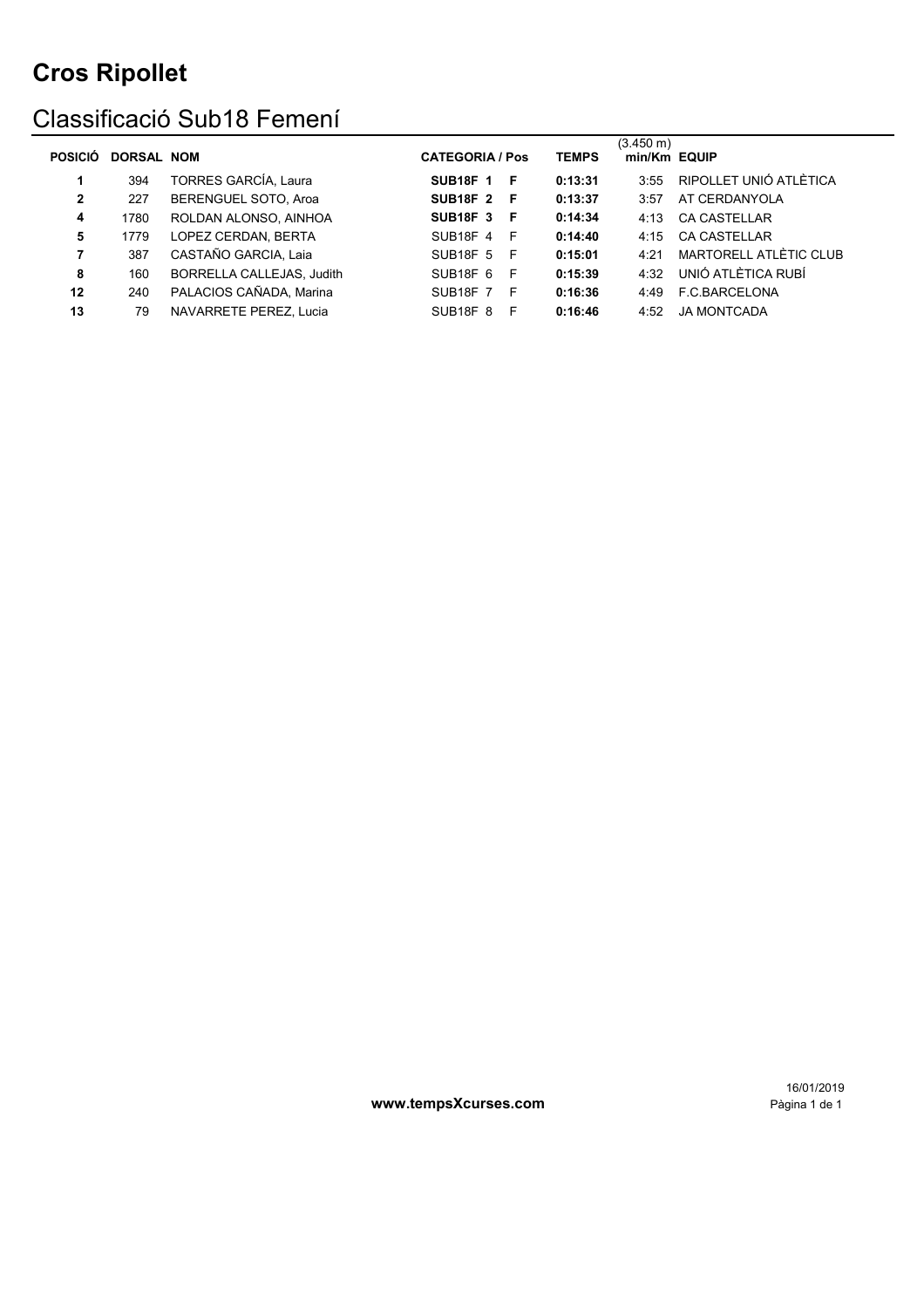### Classificació Sub18 Femení

| <b>POSICIO</b> | <b>DORSAL NOM</b> |                             | <b>CATEGORIA / Pos</b>             |    | <b>TEMPS</b> | $(3.450 \text{ m})$<br>min/Km EQUIP |                        |
|----------------|-------------------|-----------------------------|------------------------------------|----|--------------|-------------------------------------|------------------------|
| 1              | 394               | <b>TORRES GARCÍA, Laura</b> | <b>SUB18F 1</b>                    | F  | 0:13:31      | 3:55                                | RIPOLLET UNIÓ ATLÈTICA |
| $\mathbf{2}$   | 227               | BERENGUEL SOTO, Aroa        | <b>SUB18F 2</b>                    | -F | 0:13:37      | 3:57                                | AT CERDANYOLA          |
| 4              | 1780              | ROLDAN ALONSO, AINHOA       | SUB <sub>18</sub> F <sub>3</sub> F |    | 0:14:34      | 4:13                                | <b>CA CASTELLAR</b>    |
| 5              | 1779              | LOPEZ CERDAN, BERTA         | SUB18F 4                           | -F | 0:14:40      | 4:15                                | <b>CA CASTELLAR</b>    |
| 7              | 387               | CASTAÑO GARCIA, Laia        | <b>SUB18F 5</b>                    | -F | 0:15:01      | 4.21                                | MARTORELL ATLÈTIC CLUB |
| 8              | 160               | BORRELLA CALLEJAS, Judith   | SUB <sub>18</sub> F <sub>6</sub>   | -F | 0:15:39      | 4.32                                | UNIÓ ATLÈTICA RUBÍ     |
| 12             | 240               | PALACIOS CAÑADA, Marina     | <b>SUB18F 7</b>                    | -F | 0:16:36      | 4:49                                | F.C.BARCELONA          |
| 13             | 79                | NAVARRETE PEREZ. Lucia      | SUB <sub>18</sub> F <sub>8</sub>   | F  | 0:16:46      | 4:52                                | <b>JA MONTCADA</b>     |
|                |                   |                             |                                    |    |              |                                     |                        |

www.tempsXcurses.com

16/01/2019<br>1 Pàgina 1 de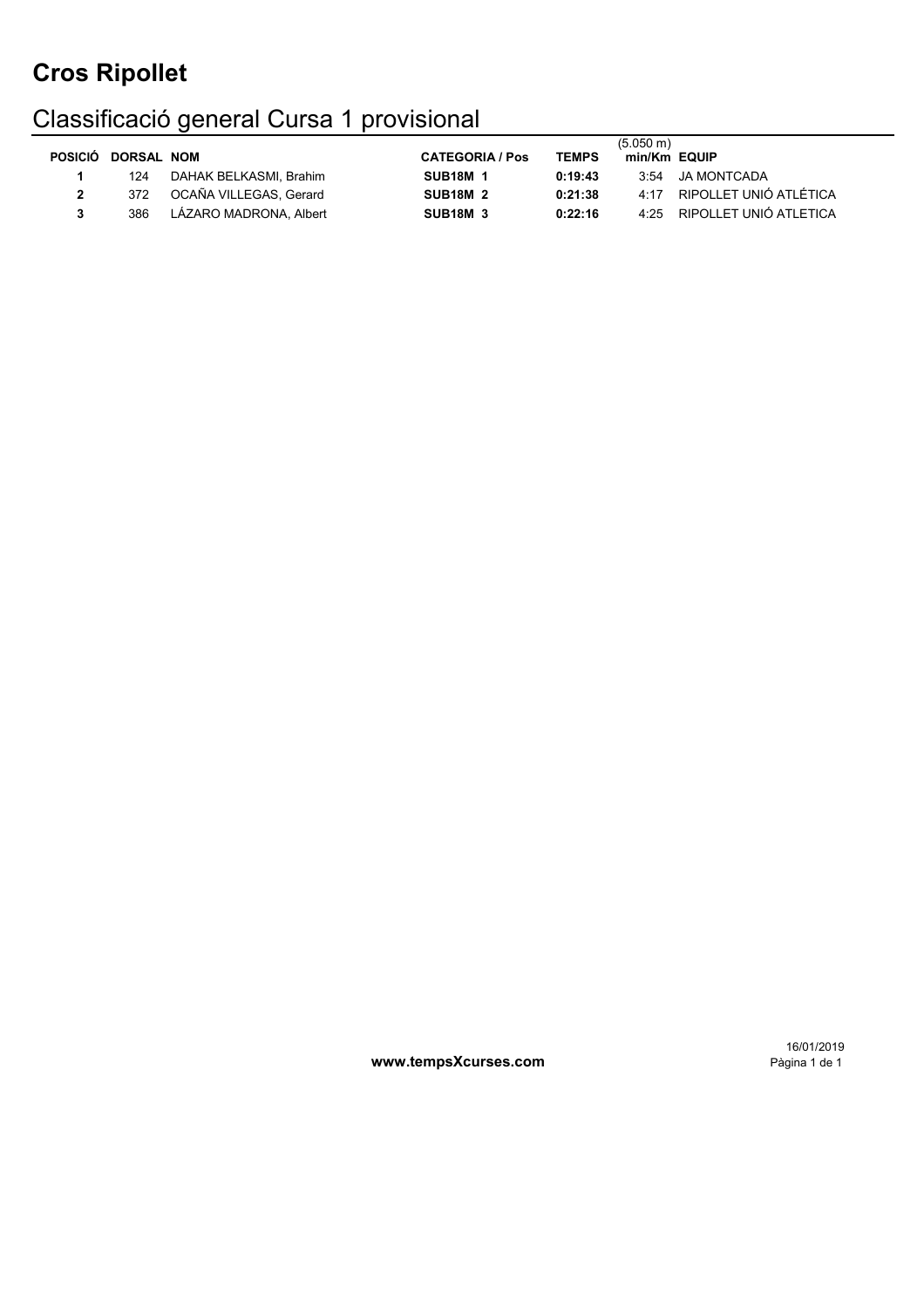# Classificació general Cursa 1 provisional

| POSICIÓ DORSAL NOM |                        | <b>CATEGORIA / Pos</b> | <b>TEMPS</b> | $(5.050 \text{ m})$<br>min/Km EQUIP |                             |
|--------------------|------------------------|------------------------|--------------|-------------------------------------|-----------------------------|
| 124                | DAHAK BELKASMI. Brahim | <b>SUB18M 1</b>        | 0:19:43      |                                     | 3:54 JA MONTCADA            |
| 372                | OCAÑA VILLEGAS, Gerard | <b>SUB18M 2</b>        | 0:21:38      | 4.17                                | RIPOLLET UNIÓ ATLÉTICA      |
| 386                | LÁZARO MADRONA, Albert | <b>SUB18M 3</b>        | 0:22:16      |                                     | 4:25 RIPOLLET UNIÓ ATLETICA |

www.tempsXcurses.com

16/01/2019<br>1 Pàgina 1 de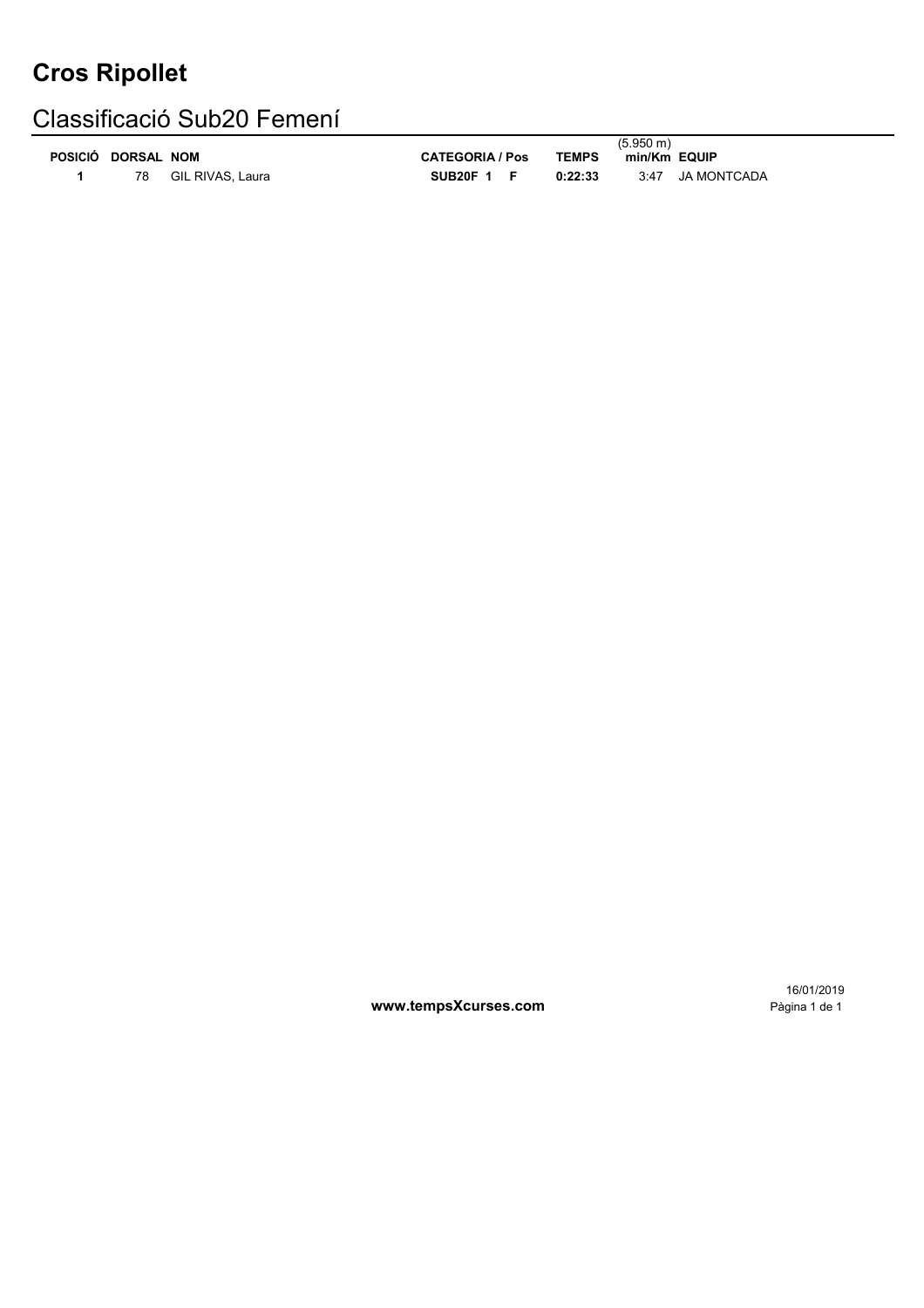### Classificació Sub20 Femení

|                |                   |                  |                        |              | $(5.950 \text{ m})$ |
|----------------|-------------------|------------------|------------------------|--------------|---------------------|
| <b>POSICIÓ</b> | <b>DORSAL NOM</b> |                  | <b>CATEGORIA / Pos</b> | <b>TEMPS</b> | min/Km EQUIP        |
|                | 78                | GIL RIVAS, Laura | SUB20F $1$ F           | 0:22:33      | JA MONTCADA<br>3:47 |

16/01/2019

**www.tempsXcurses.com Pàgina 1 de 1**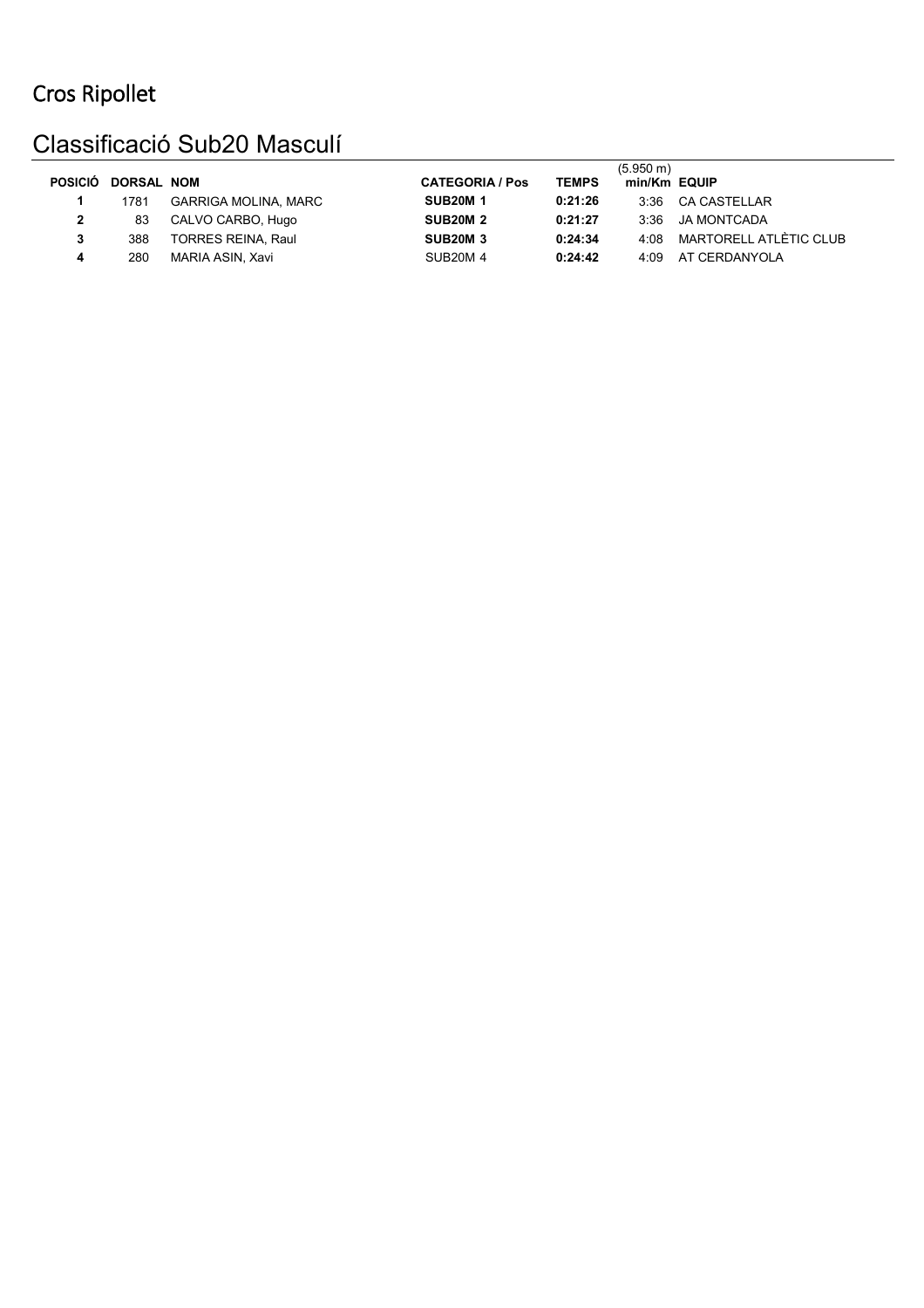### Classificació Sub20 Masculí

| <b>POSICIÓ</b> | <b>DORSAL NOM</b> |                           | <b>CATEGORIA / Pos</b> | <b>TEMPS</b> | $(5.950 \text{ m})$<br>min/Km EQUIP |                        |
|----------------|-------------------|---------------------------|------------------------|--------------|-------------------------------------|------------------------|
|                | 1781              | GARRIGA MOLINA, MARC      | <b>SUB20M1</b>         | 0:21:26      | 3.36                                | CA CASTELLAR           |
|                | 83                | CALVO CARBO, Hugo         | <b>SUB20M 2</b>        | 0:21:27      | 3:36                                | JA MONTCADA            |
|                | 388               | <b>TORRES REINA, Raul</b> | <b>SUB20M 3</b>        | 0:24:34      | 4:08                                | MARTORELL ATLÈTIC CLUB |
| 4              | 280               | MARIA ASIN, Xavi          | <b>SUB20M4</b>         | 0:24:42      | 4:09                                | AT CERDANYOLA          |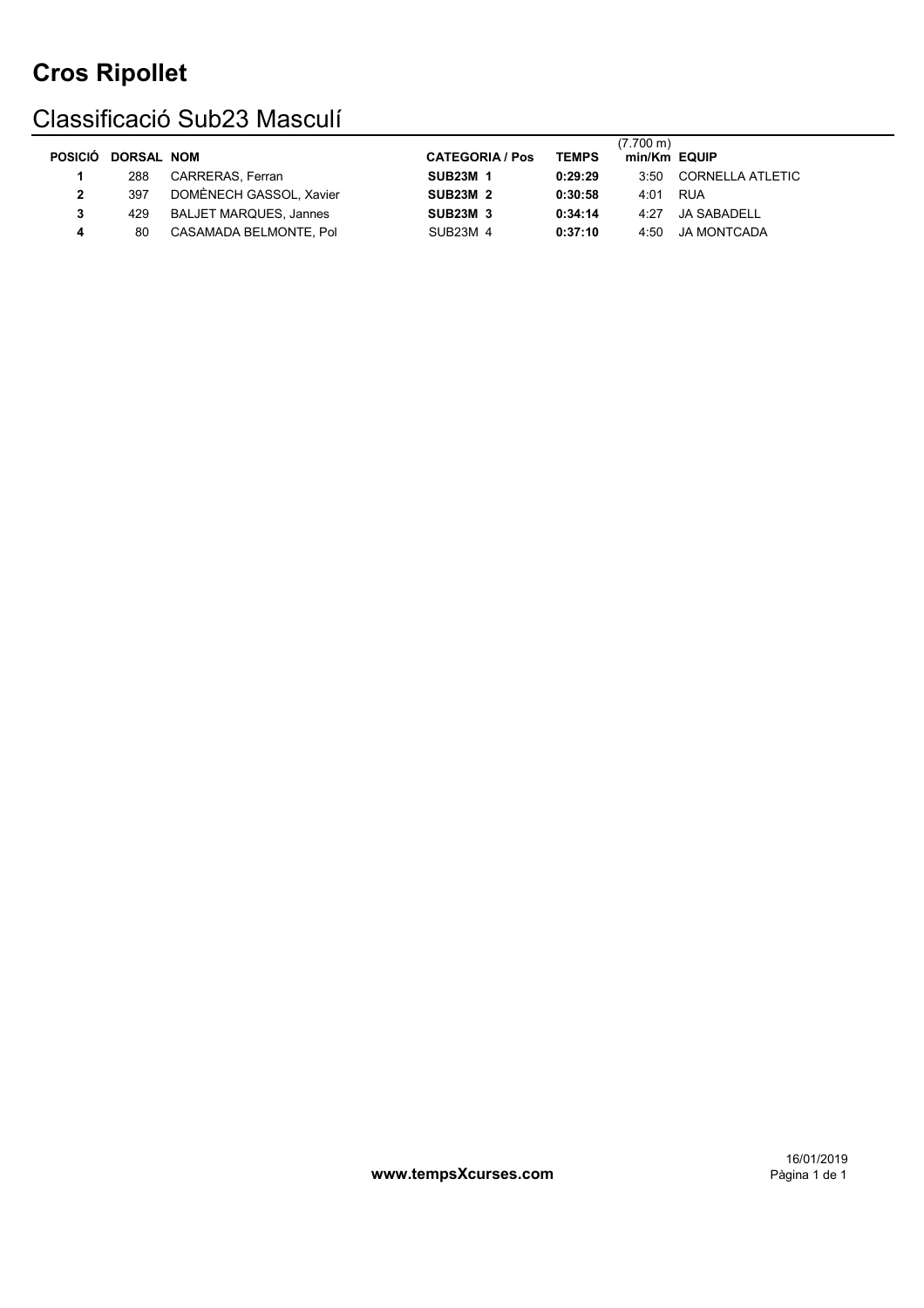### Classificació Sub23 Masculí

|                    |                               |                        |              | (7.700 m)    |                  |
|--------------------|-------------------------------|------------------------|--------------|--------------|------------------|
| POSICIÓ DORSAL NOM |                               | <b>CATEGORIA / Pos</b> | <b>TEMPS</b> | min/Km EQUIP |                  |
| 288                | <b>CARRERAS, Ferran</b>       | <b>SUB23M 1</b>        | 0:29:29      | 3:50         | CORNELLA ATLETIC |
| 397                | DOMÈNECH GASSOL, Xavier       | <b>SUB23M 2</b>        | 0:30:58      | 4:01         | RUA              |
| 429                | <b>BALJET MARQUES, Jannes</b> | <b>SUB23M 3</b>        | 0:34:14      | 4.27         | JA SABADELL      |
| 80                 | CASAMADA BELMONTE, Pol        | SUB23M 4               | 0:37:10      | 4:50         | JA MONTCADA      |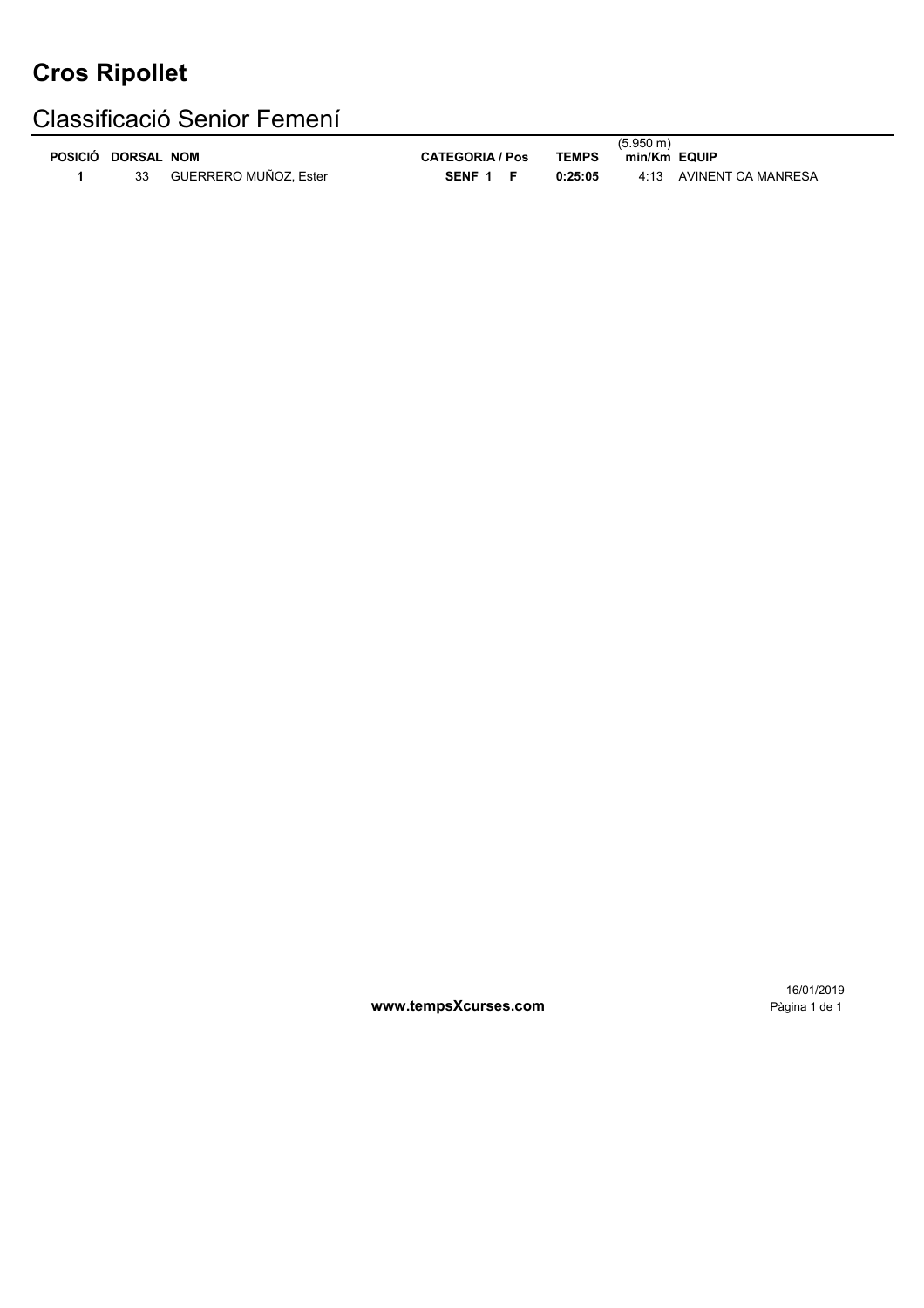### Classificació Senior Femení

| POSICIÓ DORSAL NOM |                       | <b>CATEGORIA / Pos</b> | <b>TEMPS</b> | $(5.950 \text{ m})$<br>min/Km EQUIP |
|--------------------|-----------------------|------------------------|--------------|-------------------------------------|
|                    | GUERRERO MUÑOZ. Ester | SENF 1 F               | 0:25:05      | 4:13 AVINENT CA MANRESA             |

16/01/2019

**www.tempsXcurses.com Pàgina 1 de 1**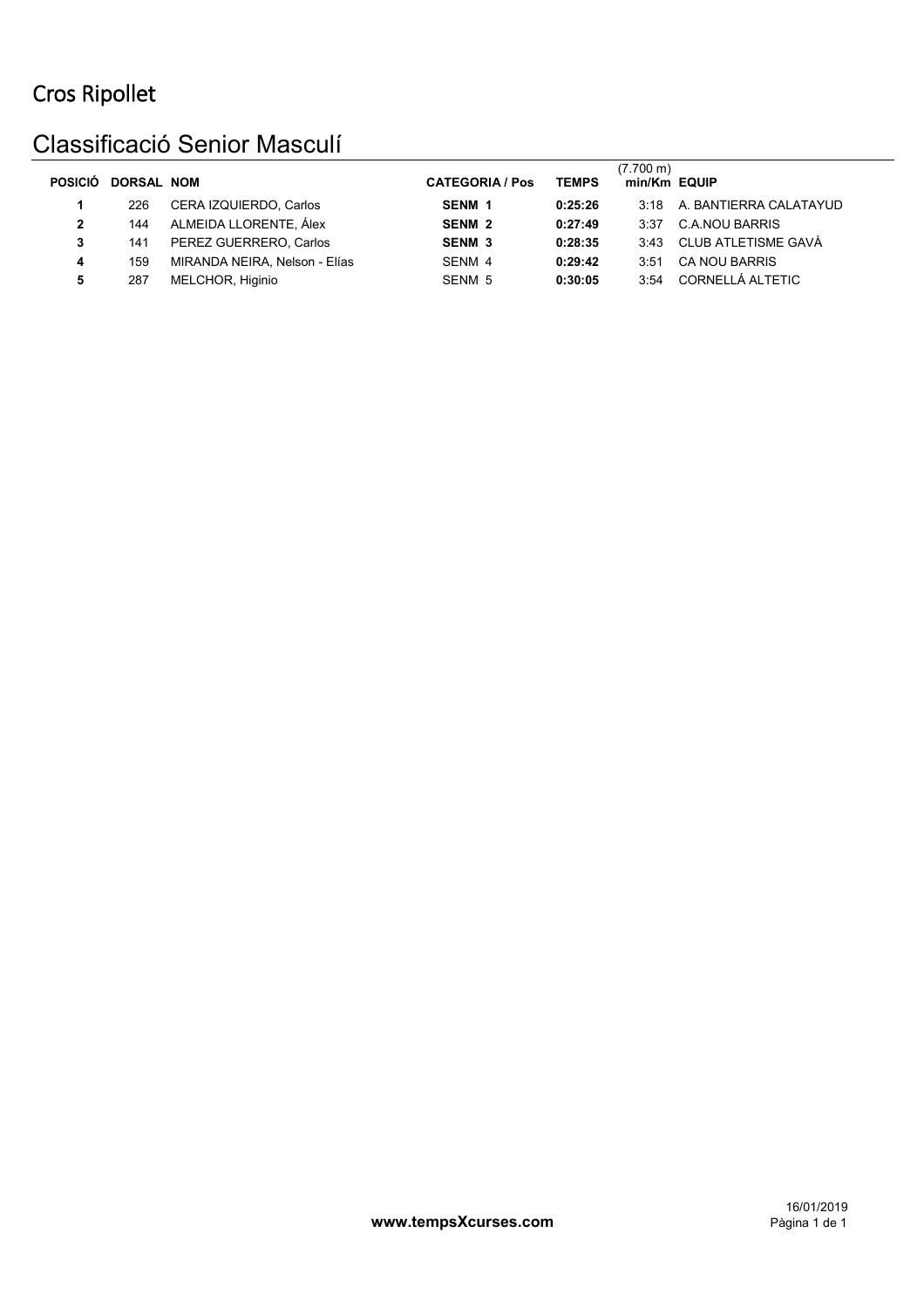#### Classificació Senior Masculí

| <b>POSICIÓ</b> | <b>DORSAL NOM</b> |                               | <b>CATEGORIA / Pos</b> | <b>TEMPS</b> | (7.700 m)<br>min/Km EQUIP |                        |
|----------------|-------------------|-------------------------------|------------------------|--------------|---------------------------|------------------------|
|                | 226               | CERA IZQUIERDO, Carlos        | SENM <sub>1</sub>      | 0:25:26      | 3.18                      | A. BANTIERRA CALATAYUD |
| 2              | 144               | ALMEIDA LLORENTE, Álex        | SENM <sub>2</sub>      | 0:27:49      | 3.37                      | <b>C.A.NOU BARRIS</b>  |
| 3              | 141               | PEREZ GUERRERO, Carlos        | <b>SENM 3</b>          | 0:28:35      | 3.43                      | CLUB ATLETISME GAVÀ    |
|                | 159               | MIRANDA NEIRA, Nelson - Elías | SENM 4                 | 0:29:42      | 3:51                      | <b>CA NOU BARRIS</b>   |
| 5              | 287               | MELCHOR, Higinio              | SENM 5                 | 0:30:05      | 3:54                      | CORNELLÁ ALTETIC       |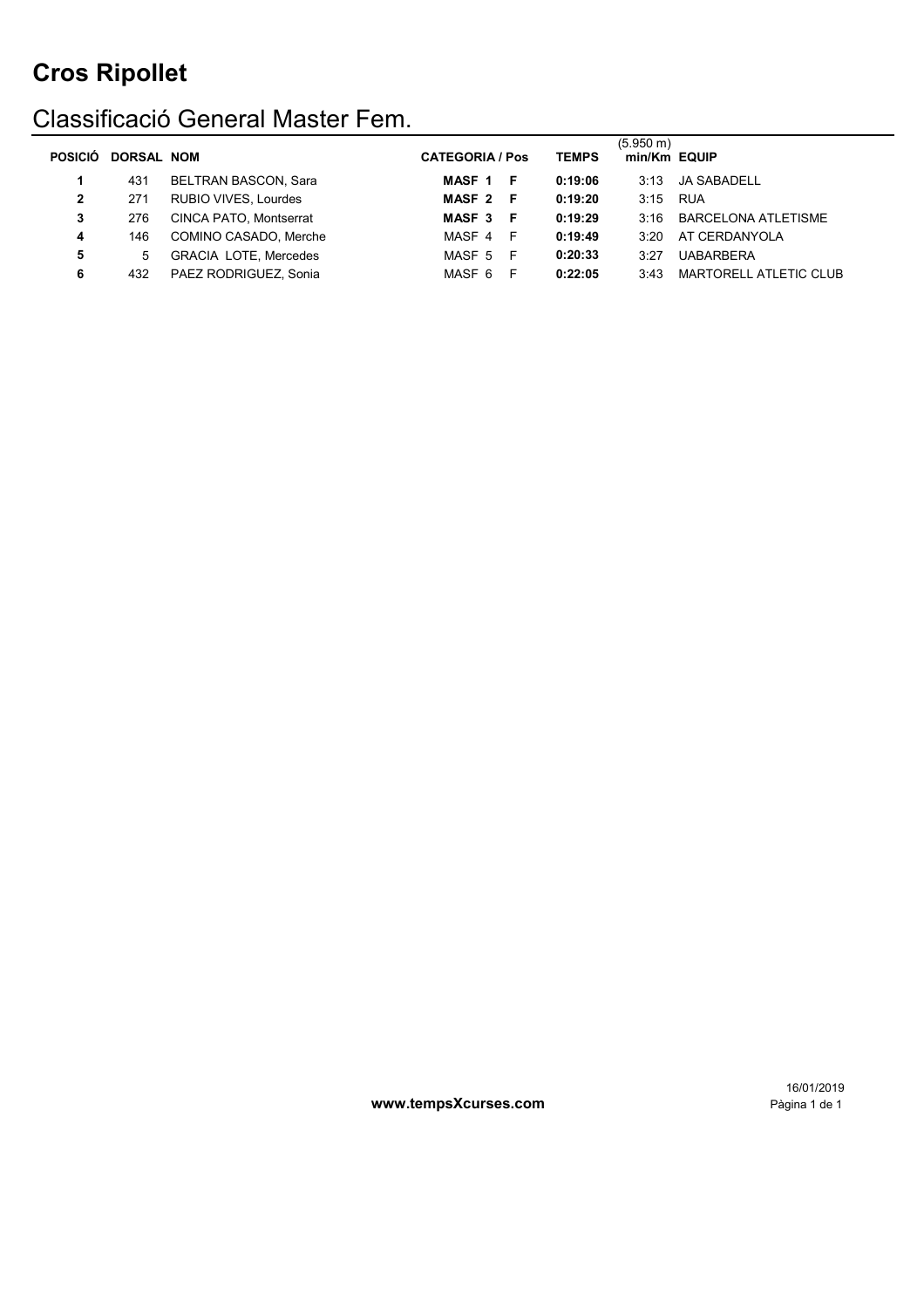### Classificació General Master Fem.

| <b>POSICIÓ</b> | <b>DORSAL NOM</b> |                              | <b>CATEGORIA / Pos</b> | <b>TEMPS</b> | $(5.950 \text{ m})$<br>min/Km EQUIP |                               |
|----------------|-------------------|------------------------------|------------------------|--------------|-------------------------------------|-------------------------------|
|                | 431               | <b>BELTRAN BASCON, Sara</b>  | MASF 1 F               | 0:19:06      | 3:13                                | JA SABADELL                   |
| 2              | 271               | <b>RUBIO VIVES, Lourdes</b>  | MASF 2 F               | 0:19:20      | 3:15 RUA                            |                               |
| 3              | 276               | CINCA PATO, Montserrat       | MASF 3 F               | 0:19:29      | 3:16                                | BARCELONA ATLETISME           |
| 4              | 146               | COMINO CASADO, Merche        | MASF 4<br>- F          | 0:19:49      | 3.20                                | AT CERDANYOLA                 |
| 5              | 5                 | <b>GRACIA LOTE, Mercedes</b> | MASF 5 F               | 0:20:33      | 3:27                                | <b>UABARBERA</b>              |
| 6              | 432               | PAEZ RODRIGUEZ, Sonia        | MASF 6<br>-F           | 0:22:05      | 3:43                                | <b>MARTORELL ATLETIC CLUB</b> |

www.tempsXcurses.com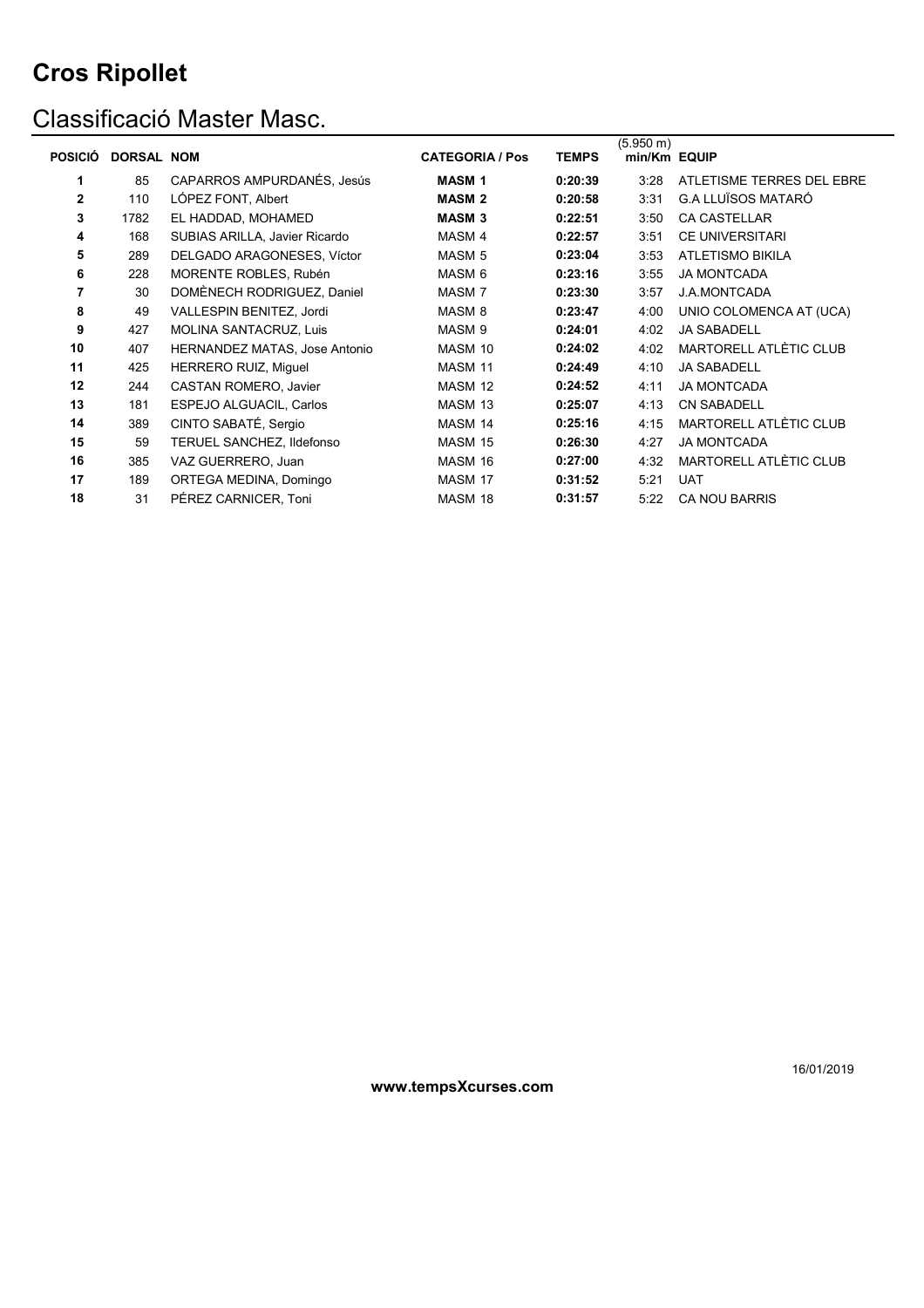### Classificació Master Masc.

|                |                   |                                      |                        |              | $(5.950 \text{ m})$ |                               |
|----------------|-------------------|--------------------------------------|------------------------|--------------|---------------------|-------------------------------|
| <b>POSICIÓ</b> | <b>DORSAL NOM</b> |                                      | <b>CATEGORIA / Pos</b> | <b>TEMPS</b> | min/Km EQUIP        |                               |
| 1              | 85                | CAPARROS AMPURDANÉS, Jesús           | <b>MASM1</b>           | 0:20:39      | 3:28                | ATLETISME TERRES DEL EBRE     |
| $\overline{2}$ | 110               | LÓPEZ FONT, Albert                   | <b>MASM 2</b>          | 0:20:58      | 3:31                | <b>G.A LLUÏSOS MATARÓ</b>     |
| 3              | 1782              | EL HADDAD, MOHAMED                   | <b>MASM 3</b>          | 0:22:51      | 3:50                | <b>CA CASTELLAR</b>           |
| 4              | 168               | SUBIAS ARILLA, Javier Ricardo        | MASM 4                 | 0:22:57      | 3:51                | <b>CE UNIVERSITARI</b>        |
| 5              | 289               | DELGADO ARAGONESES, Víctor           | MASM <sub>5</sub>      | 0:23:04      | 3:53                | <b>ATLETISMO BIKILA</b>       |
| 6              | 228               | MORENTE ROBLES, Rubén                | MASM 6                 | 0:23:16      | 3:55                | <b>JA MONTCADA</b>            |
| 7              | 30                | DOMÈNECH RODRIGUEZ, Daniel           | MASM <sub>7</sub>      | 0:23:30      | 3:57                | <b>J.A.MONTCADA</b>           |
| 8              | 49                | VALLESPIN BENITEZ, Jordi             | MASM <sub>8</sub>      | 0:23:47      | 4:00                | UNIO COLOMENCA AT (UCA)       |
| 9              | 427               | MOLINA SANTACRUZ, Luis               | MASM <sub>9</sub>      | 0:24:01      | 4:02                | <b>JA SABADELL</b>            |
| 10             | 407               | <b>HERNANDEZ MATAS, Jose Antonio</b> | MASM 10                | 0:24:02      | 4:02                | <b>MARTORELL ATLÈTIC CLUB</b> |
| 11             | 425               | <b>HERRERO RUIZ, Miquel</b>          | MASM 11                | 0:24:49      | 4:10                | <b>JA SABADELL</b>            |
| 12             | 244               | CASTAN ROMERO, Javier                | MASM 12                | 0:24:52      | 4:11                | <b>JA MONTCADA</b>            |
| 13             | 181               | ESPEJO ALGUACIL, Carlos              | MASM 13                | 0:25:07      | 4:13                | <b>CN SABADELL</b>            |
| 14             | 389               | CINTO SABATÉ, Sergio                 | MASM 14                | 0:25:16      | 4:15                | MARTORELL ATLÈTIC CLUB        |
| 15             | 59                | TERUEL SANCHEZ, Ildefonso            | MASM 15                | 0:26:30      | 4:27                | <b>JA MONTCADA</b>            |
| 16             | 385               | VAZ GUERRERO, Juan                   | MASM 16                | 0:27:00      | 4:32                | MARTORELL ATLÈTIC CLUB        |
| 17             | 189               | ORTEGA MEDINA, Domingo               | MASM 17                | 0:31:52      | 5:21                | <b>UAT</b>                    |
| 18             | 31                | PÉREZ CARNICER, Toni                 | MASM 18                | 0:31:57      | 5:22                | <b>CA NOU BARRIS</b>          |

**www.tempsXcurses.com**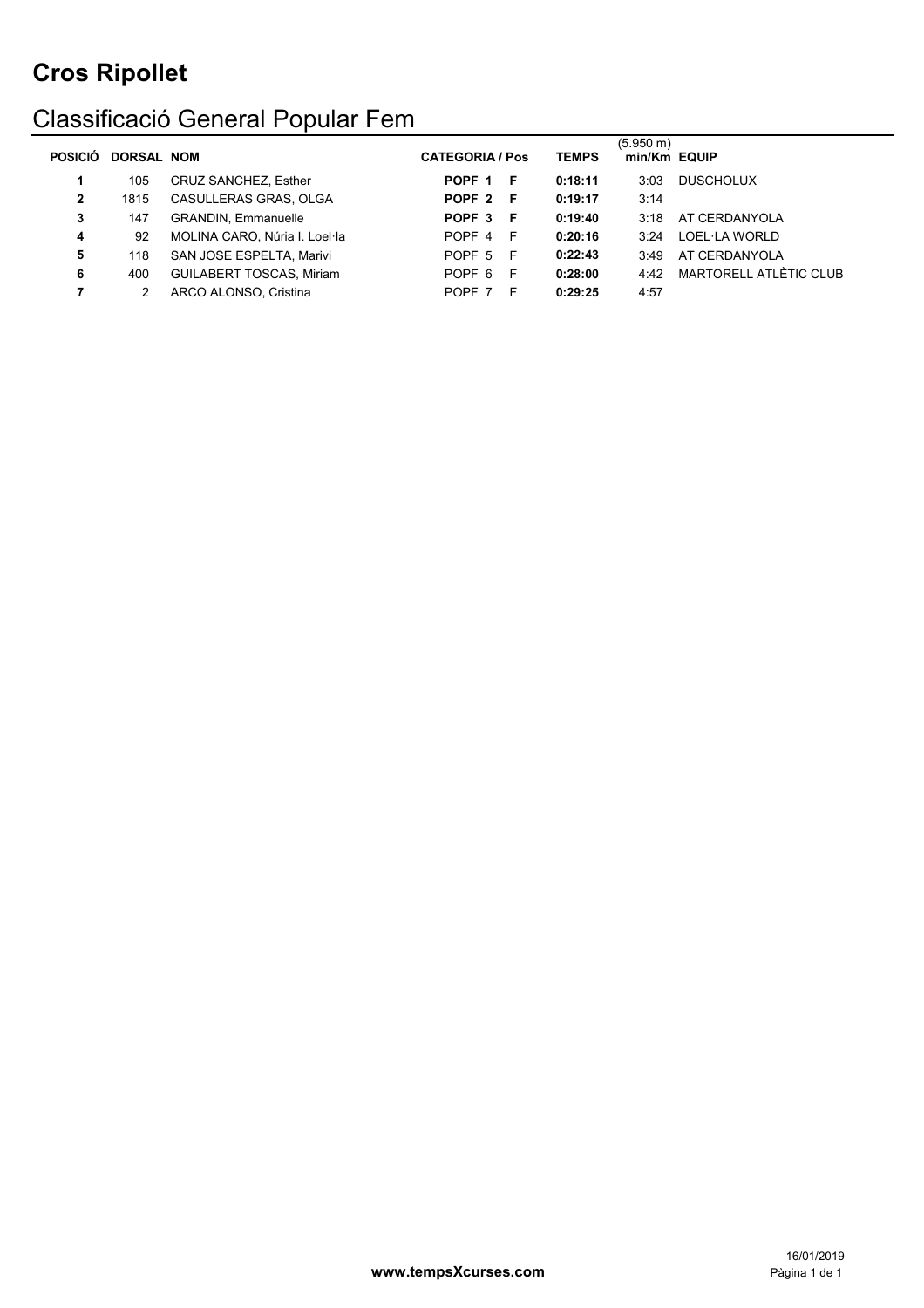### Classificació General Popular Fem

| <b>POSICIÓ</b> | <b>DORSAL NOM</b> |                                 | <b>CATEGORIA / Pos</b> |   | <b>TEMPS</b> | $(5.950 \text{ m})$<br>min/Km EQUIP |                        |
|----------------|-------------------|---------------------------------|------------------------|---|--------------|-------------------------------------|------------------------|
|                | 105               | <b>CRUZ SANCHEZ, Esther</b>     | POPF 1 F               |   | 0:18:11      | 3:03                                | <b>DUSCHOLUX</b>       |
| $\mathbf{2}$   | 1815              | CASULLERAS GRAS, OLGA           | POPF 2 F               |   | 0:19:17      | 3:14                                |                        |
| 3              | 147               | <b>GRANDIN, Emmanuelle</b>      | POPF 3 F               |   | 0:19:40      | 3:18                                | AT CERDANYOLA          |
| 4              | 92                | MOLINA CARO, Núria I. Loel·la   | POPF 4 F               |   | 0:20:16      | 3.24                                | LOEL·LA WORLD          |
| 5              | 118               | SAN JOSE ESPELTA, Marivi        | POPF 5 F               |   | 0:22:43      | 3:49                                | AT CERDANYOLA          |
| 6              | 400               | <b>GUILABERT TOSCAS, Miriam</b> | POPF 6 F               |   | 0:28:00      | 4.42                                | MARTORELL ATLÈTIC CLUB |
|                |                   | ARCO ALONSO, Cristina           | POPF 7                 | E | 0:29:25      | 4:57                                |                        |